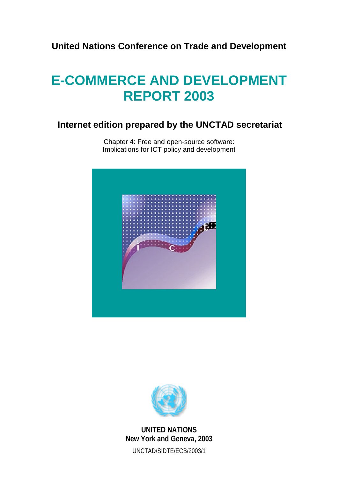## **United Nations Conference on Trade and Development**

# **E-COMMERCE AND DEVELOPMENT REPORT 2003**

## **Internet edition prepared by the UNCTAD secretariat**



Chapter 4: Free and open-source software: Implications for ICT policy and development



**UNITED NATIONS New York and Geneva, 2003**  UNCTAD/SIDTE/ECB/2003/1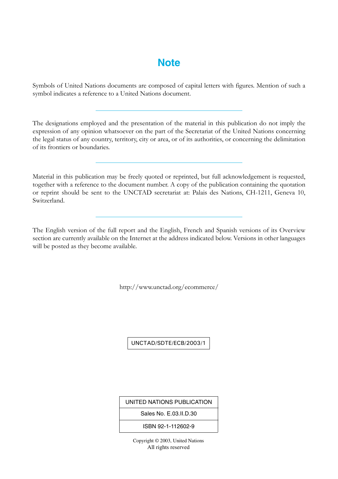## **Note**

Symbols of United Nations documents are composed of capital letters with figures. Mention of such a symbol indicates a reference to a United Nations document.

The designations employed and the presentation of the material in this publication do not imply the expression of any opinion whatsoever on the part of the Secretariat of the United Nations concerning the legal status of any country, territory, city or area, or of its authorities, or concerning the delimitation of its frontiers or boundaries.

Material in this publication may be freely quoted or reprinted, but full acknowledgement is requested, together with a reference to the document number. A copy of the publication containing the quotation or reprint should be sent to the UNCTAD secretariat at: Palais des Nations, CH-1211, Geneva 10, Switzerland.

The English version of the full report and the English, French and Spanish versions of its Overview section are currently available on the Internet at the address indicated below. Versions in other languages will be posted as they become available.

http://www.unctad.org/ecommerce/

UNCTAD/SDTE/ECB/2003/1

UNITED NATIONS PUBLICATION

Sales No. E.03.II.D.30

ISBN 92-1-112602-9

Copyright © 2003, United Nations All rights reserved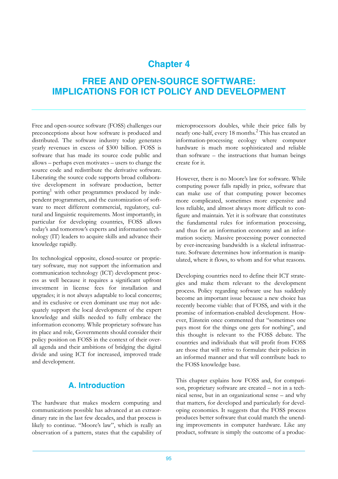## **Chapter 4**

## **FREE AND OPEN-SOURCE SOFTWARE: IMPLICATIONS FOR ICT POLICY AND DEVELOPMENT**

Free and open-source software (FOSS) challenges our preconceptions about how software is produced and distributed. The software industry today generates yearly revenues in excess of \$300 billion. FOSS is software that has made its source code public and allows – perhaps even motivates – users to change the source code and redistribute the derivative software. Liberating the source code supports broad collaborative development in software production, better porting<sup>1</sup> with other programmes produced by independent programmers, and the customization of software to meet different commercial, regulatory, cultural and linguistic requirements. Most importantly, in particular for developing countries, FOSS allows today's and tomorrow's experts and information technology (IT) leaders to acquire skills and advance their knowledge rapidly.

Its technological opposite, closed-source or proprietary software, may not support the information and communication technology (ICT) development process as well because it requires a significant upfront investment in license fees for installation and upgrades; it is not always adaptable to local concerns; and its exclusive or even dominant use may not adequately support the local development of the expert knowledge and skills needed to fully embrace the information economy. While proprietary software has its place and role, Governments should consider their policy position on FOSS in the context of their overall agenda and their ambitions of bridging the digital divide and using ICT for increased, improved trade and development.

## **A. Introduction**

The hardware that makes modern computing and communications possible has advanced at an extraordinary rate in the last few decades, and that process is likely to continue. "Moore's law", which is really an observation of a pattern, states that the capability of microprocessors doubles, while their price falls by nearly one-half, every 18 months.<sup>2</sup> This has created an information-processing ecology where computer hardware is much more sophisticated and reliable than software – the instructions that human beings create for it.

However, there is no Moore's law for software. While computing power falls rapidly in price, software that can make use of that computing power becomes more complicated, sometimes more expensive and less reliable, and almost always more difficult to configure and maintain. Yet it is software that constitutes the fundamental rules for information processing, and thus for an information economy and an information society. Massive processing power connected by ever-increasing bandwidth is a skeletal infrastructure. Software determines how information is manipulated, where it flows, to whom and for what reasons.

Developing countries need to define their ICT strategies and make them relevant to the development process. Policy regarding software use has suddenly become an important issue because a new choice has recently become viable: that of FOSS, and with it the promise of information-enabled development. However, Einstein once commented that "sometimes one pays most for the things one gets for nothing", and this thought is relevant to the FOSS debate. The countries and individuals that will profit from FOSS are those that will strive to formulate their policies in an informed manner and that will contribute back to the FOSS knowledge base.

This chapter explains how FOSS and, for comparison, proprietary software are created – not in a technical sense, but in an organizational sense – and why that matters, for developed and particularly for developing economies. It suggests that the FOSS process produces better software that could match the unending improvements in computer hardware. Like any product, software is simply the outcome of a produc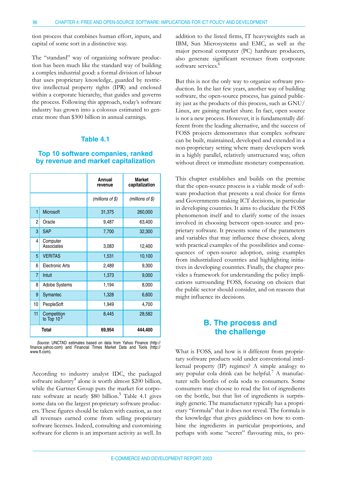tion process that combines human effort, inputs, and capital of some sort in a distinctive way.

The "standard" way of organizing software production has been much like the standard way of building a complex industrial good: a formal division of labour that uses proprietary knowledge, guarded by restrictive intellectual property rights (IPR) and enclosed within a corporate hierarchy, that guides and governs the process. Following this approach, today's software industry has grown into a colossus estimated to generate more than \$300 billion in annual earnings.

### **Table 4.1**

## **Top 10 software companies, ranked by revenue and market capitalization**

|                |                                       | Annual<br>revenue | <b>Market</b><br>capitalization |
|----------------|---------------------------------------|-------------------|---------------------------------|
|                |                                       | (millions of \$)  | (millions of $$$ )              |
| 1              | Microsoft                             | 31,375            | 260,000                         |
| 2              | Oracle                                | 9,487             | 63,400                          |
| 3              | <b>SAP</b>                            | 7,700             | 32,300                          |
| 4              | Computer<br>Associates                | 3,083             | 12,400                          |
| 5              | <b>VERITAS</b>                        | 1,531             | 10,100                          |
| 6              | <b>Electronic Arts</b>                | 2,489             | 9,300                           |
| $\overline{7}$ | Intuit                                | 1,373             | 9,000                           |
| 8              | Adobe Systems                         | 1,194             | 8,000                           |
| 9              | Symantec                              | 1,328             | 6,600                           |
| 10             | PeopleSoft                            | 1,949             | 4,700                           |
| 11             | Competition<br>to Top 10 <sup>3</sup> | 8,445             | 28,582                          |
| <b>Total</b>   |                                       | 69,954            | 444,400                         |

*Source:* UNCTAD estimates based on data from Yahoo Finance (http:// finance.yahoo.com) and Financial Times Market Data and Tools (http:// www.ft.com).

According to industry analyst IDC, the packaged software industry<sup>4</sup> alone is worth almost \$200 billion, while the Gartner Group puts the market for corporate software at nearly  $$80$  billion.<sup>5</sup> Table 4.1 gives some data on the largest proprietary software producers. These figures should be taken with caution, as not all revenues earned come from selling proprietary software licenses. Indeed, consulting and customizing software for clients is an important activity as well. In

addition to the listed firms, IT heavyweights such as IBM, Sun Microsystems and EMC, as well as the major personal computer (PC) hardware producers, also generate significant revenues from corporate software services.<sup>6</sup>

But this is not the only way to organize software production. In the last few years, another way of building software, the open-source process, has gained publicity just as the products of this process, such as GNU/ Linux, are gaining market share. In fact, open source is not a new process. However, it is fundamentally different from the leading alternative, and the success of FOSS projects demonstrates that complex software can be built, maintained, developed and extended in a non-proprietary setting where many developers work in a highly parallel, relatively unstructured way, often without direct or immediate monetary compensation.

This chapter establishes and builds on the premise that the open-source process is a viable mode of software production that presents a real choice for firms and Governments making ICT decisions, in particular in developing countries. It aims to elucidate the FOSS phenomenon itself and to clarify some of the issues involved in choosing between open-source and proprietary software. It presents some of the parameters and variables that may influence these choices, along with practical examples of the possibilities and consequences of open-source adoption, using examples from industrialized countries and highlighting initiatives in developing countries. Finally, the chapter provides a framework for understanding the policy implications surrounding FOSS, focusing on choices that the public sector should consider, and on reasons that might influence its decisions.

## **B. The process and the challenge**

What is FOSS, and how is it different from proprietary software products sold under conventional intellectual property (IP) regimes? A simple analogy to any popular cola drink can be helpful.<sup>7</sup> A manufacturer sells bottles of cola soda to consumers. Some consumers may choose to read the list of ingredients on the bottle, but that list of ingredients is surprisingly generic. The manufacturer typically has a proprietary "formula" that it does not reveal. The formula is the knowledge that gives guidelines on how to combine the ingredients in particular proportions, and perhaps with some "secret" flavouring mix, to pro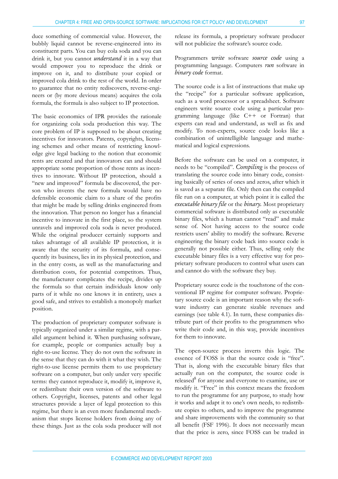duce something of commercial value. However, the bubbly liquid cannot be reverse-engineered into its constituent parts. You can buy cola soda and you can drink it, but you cannot *understand* it in a way that would empower you to reproduce the drink or improve on it, and to distribute your copied or improved cola drink to the rest of the world. In order to guarantee that no entity rediscovers, reverse-engineers or (by more devious means) acquires the cola formula, the formula is also subject to IP protection.

The basic economics of IPR provides the rationale for organizing cola soda production this way. The core problem of IP is supposed to be about creating incentives for innovators. Patents, copyrights, licensing schemes and other means of restricting knowledge give legal backing to the notion that economic rents are created and that innovators can and should appropriate some proportion of those rents as incentives to innovate. Without IP protection, should a "new and improved" formula be discovered, the person who invents the new formula would have no defensible economic claim to a share of the profits that might be made by selling drinks engineered from the innovation. That person no longer has a financial incentive to innovate in the first place, so the system unravels and improved cola soda is never produced. While the original producer certainly supports and takes advantage of all available IP protection, it is aware that the security of its formula, and consequently its business, lies in its physical protection, and in the entry costs, as well as the manufacturing and distribution costs, for potential competitors. Thus, the manufacturer complicates the recipe, divides up the formula so that certain individuals know only parts of it while no one knows it in entirety, uses a good safe, and strives to establish a monopoly market position.

The production of proprietary computer software is typically organized under a similar regime, with a parallel argument behind it. When purchasing software, for example, people or companies actually buy a right-to-use license. They do not own the software in the sense that they can do with it what they wish. The right-to-use license permits them to use proprietary software on a computer, but only under very specific terms: they cannot reproduce it, modify it, improve it, or redistribute their own version of the software to others. Copyright, licenses, patents and other legal structures provide a layer of legal protection to this regime, but there is an even more fundamental mechanism that stops license holders from doing any of these things. Just as the cola soda producer will not

release its formula, a proprietary software producer will not publicize the software's source code.

Programmers *write* software *source code* using a programming language. Computers *run* software in *binary code* format.

The source code is a list of instructions that make up the "recipe" for a particular software application, such as a word processor or a spreadsheet. Software engineers write source code using a particular programming language (like C++ or Fortran) that experts can read and understand, as well as fix and modify. To non-experts, source code looks like a combination of unintelligible language and mathematical and logical expressions.

Before the software can be used on a computer, it needs to be "compiled". *Compiling* is the process of translating the source code into binary code, consisting basically of series of ones and zeros, after which it is saved as a separate file. Only then can the compiled file run on a computer, at which point it is called the *executable binary file* or the *binary.* Most proprietary commercial software is distributed only as executable binary files, which a human cannot "read" and make sense of. Not having access to the source code restricts users' ability to modify the software. Reverse engineering the binary code back into source code is generally not possible either. Thus, selling only the executable binary files is a very effective way for proprietary software producers to control what users can and cannot do with the software they buy.

Proprietary source code is the touchstone of the conventional IP regime for computer software. Proprietary source code is an important reason why the software industry can generate sizable revenues and earnings (see table 4.1). In turn, these companies distribute part of their profits to the programmers who write their code and, in this way, provide incentives for them to innovate.

The open-source process inverts this logic. The essence of FOSS is that the source code is "free". That is, along with the executable binary files that actually run on the computer, the source code is released<sup>8</sup> for anyone and everyone to examine, use or modify it. "Free" in this context means the freedom to run the programme for any purpose, to study how it works and adapt it to one's own needs, to redistribute copies to others, and to improve the programme and share improvements with the community so that all benefit (FSF 1996). It does not necessarily mean that the price is zero, since FOSS can be traded in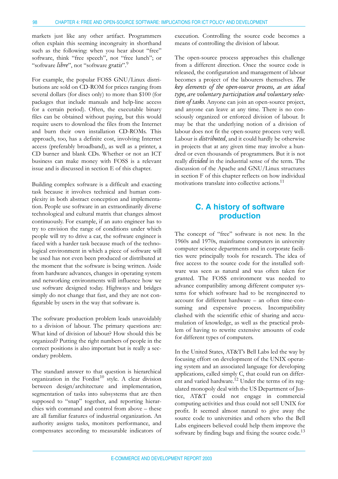markets just like any other artifact. Programmers often explain this seeming incongruity in shorthand such as the following: when you hear about "free" software, think "free speech", not "free lunch"; or "software *libre*", not "software *gratis*".<sup>9</sup>

For example, the popular FOSS GNU/Linux distributions are sold on CD-ROM for prices ranging from several dollars (for discs only) to more than \$100 (for packages that include manuals and help-line access for a certain period). Often, the executable binary files can be obtained without paying, but this would require users to download the files from the Internet and burn their own installation CD-ROMs. This approach, too, has a definite cost, involving Internet access (preferably broadband), as well as a printer, a CD burner and blank CDs. Whether or not an ICT business can make money with FOSS is a relevant issue and is discussed in section E of this chapter.

Building complex software is a difficult and exacting task because it involves technical and human complexity in both abstract conception and implementation. People use software in an extraordinarily diverse technological and cultural matrix that changes almost continuously. For example, if an auto engineer has to try to envision the range of conditions under which people will try to drive a car, the software engineer is faced with a harder task because much of the technological environment in which a piece of software will be used has not even been produced or distributed at the moment that the software is being written. Aside from hardware advances, changes in operating system and networking environments will influence how we use software designed today. Highways and bridges simply do not change that fast, and they are not configurable by users in the way that software is.

The software production problem leads unavoidably to a division of labour. The primary questions are: What kind of division of labour? How should this be organized? Putting the right numbers of people in the correct positions is also important but is really a secondary problem.

The standard answer to that question is hierarchical organization in the Fordist $10$  style. A clear division between design/architecture and implementation, segmentation of tasks into subsystems that are then supposed to "snap" together, and reporting hierarchies with command and control from above – these are all familiar features of industrial organization. An authority assigns tasks, monitors performance, and compensates according to measurable indicators of execution. Controlling the source code becomes a means of controlling the division of labour.

The open-source process approaches this challenge from a different direction. Once the source code is released, the configuration and management of labour becomes a project of the labourers themselves. *The key elements of the open-source process, as an ideal type, are voluntary participation and voluntary selection of tasks*. Anyone can join an open-source project, and anyone can leave at any time. There is no consciously organized or enforced division of labour. It may be that the underlying notion of a division of labour does not fit the open-source process very well. Labour is *distributed*, and it could hardly be otherwise in projects that at any given time may involve a hundred or even thousands of programmers. But it is not really *divided* in the industrial sense of the term. The discussion of the Apache and GNU/Linux structures in section F of this chapter reflects on how individual motivations translate into collective actions.11

## **C. A history of software production**

The concept of "free" software is not new. In the 1960s and 1970s, mainframe computers in university computer science departments and in corporate facilities were principally tools for research. The idea of free access to the source code for the installed software was seen as natural and was often taken for granted. The FOSS environment was needed to advance compatibility among different computer systems for which software had to be reengineered to account for different hardware – an often time-consuming and expensive process. Incompatibility clashed with the scientific ethic of sharing and accumulation of knowledge, as well as the practical problem of having to rewrite extensive amounts of code for different types of computers.

In the United States, AT&T's Bell Labs led the way by focusing effort on development of the UNIX operating system and an associated language for developing applications, called simply C, that could run on different and varied hardware.<sup>12</sup> Under the terms of its regulated monopoly deal with the US Department of Justice, AT&T could not engage in commercial computing activities and thus could not sell UNIX for profit. It seemed almost natural to give away the source code to universities and others who the Bell Labs engineers believed could help them improve the software by finding bugs and fixing the source code.<sup>13</sup>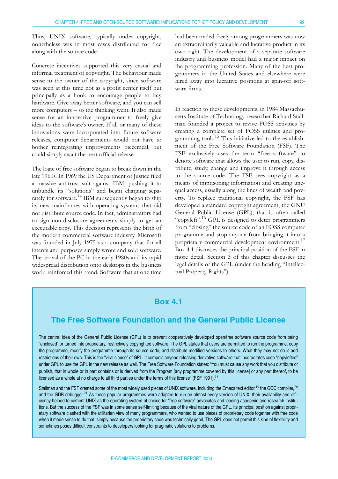Thus, UNIX software, typically under copyright, nonetheless was in most cases distributed for free along with the source code.

Concrete incentives supported this very casual and informal treatment of copyright. The behaviour made sense to the owner of the copyright, since software was seen at this time not as a profit center itself but principally as a hook to encourage people to buy hardware. Give away better software, and you can sell more computers – so the thinking went. It also made sense for an innovative programmer to freely give ideas to the software's owner. If all or many of these innovations were incorporated into future software releases, computer departments would not have to bother reintegrating improvements piecemeal, but could simply await the next official release.

The logic of free software began to break down in the late 1960s. In 1969 the US Department of Justice filed a massive antitrust suit against IBM, pushing it to unbundle its "solutions" and begin charging separately for software.<sup>14</sup> IBM subsequently began to ship its new mainframes with operating systems that did not distribute source code. In fact, administrators had to sign non-disclosure agreements simply to get an executable copy. This decision represents the birth of the modern commercial software industry. Microsoft was founded in July 1975 as a company that for all intents and purposes simply wrote and sold software. The arrival of the PC in the early 1980s and its rapid widespread distribution onto desktops in the business world reinforced this trend. Software that at one time had been traded freely among programmers was now an extraordinarily valuable and lucrative product in its own right. The development of a separate software industry and business model had a major impact on the programming profession. Many of the best programmers in the United States and elsewhere were hired away into lucrative positions at spin-off software firms.

In reaction to these developments, in 1984 Massachusetts Institute of Technology researcher Richard Stallman founded a project to revive FOSS activities by creating a complete set of FOSS utilities and programming tools.15 This initiative led to the establishment of the Free Software Foundation (FSF). The FSF exclusively uses the term "free software" to denote software that allows the user to run, copy, distribute, study, change and improve it through access to the source code. The FSF sees copyright as a means of imprisoning information and creating unequal access, usually along the lines of wealth and poverty. To replace traditional copyright, the FSF has developed a standard copyright agreement, the GNU General Public License (GPL), that is often called "copyleft".<sup>16</sup> GPL is designed to deter programmers from "closing" the source code of an FOSS computer programme and stop anyone from bringing it into a proprietary commercial development environment.<sup>17</sup> Box 4.1 discusses the principal position of the FSF in more detail. Section 3 of this chapter discusses the legal details of the GPL (under the heading "Intellectual Property Rights").

## **Box 4.1**

## **The Free Software Foundation and the General Public License**

The central idea of the General Public License (GPL) is to prevent cooperatively developed open/free software source code from being "enclosed" or turned into proprietary, restrictively copyrighted software. The GPL states that users are permitted to run the programme, copy the programme, modify the programme through its source code, and distribute modified versions to others. What they may not do is add restrictions of their own. This is the "viral clause" of GPL. It compels anyone releasing derivative software that incorporates code "copylefted" under GPL to use the GPL in the new release as well. The Free Software Foundation states: "You must cause any work that you distribute or publish, that in whole or in part contains or is derived from the Program [any programme covered by this license] or any part thereof, to be licensed as a whole at no charge to all third parties under the terms of this license" (FSF 1991).<sup>18</sup>

Stallman and the FSF created some of the most widely used pieces of UNIX software, including the Emacs text editor,<sup>19</sup> the GCC compiler,<sup>20</sup> and the GDB debugger.<sup>21</sup> As these popular programmes were adapted to run on almost every version of UNIX, their availability and efficiency helped to cement UNIX as the operating system of choice for "free software" advocates and leading academic and research institutions. But the success of the FSF was in some sense self-limiting because of the viral nature of the GPL. Its principal position against proprietary software clashed with the utilitarian view of many programmers, who wanted to use pieces of proprietary code together with free code when it made sense to do that, simply because the proprietary code was technically good. The GPL does not permit this kind of flexibility and sometimes poses difficult constraints to developers looking for pragmatic solutions to problems.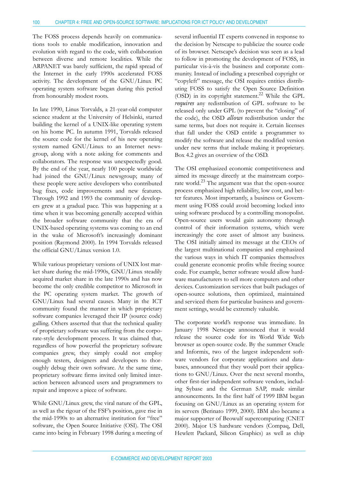The FOSS process depends heavily on communications tools to enable modification, innovation and evolution with regard to the code, with collaboration between diverse and remote localities. While the ARPANET was barely sufficient, the rapid spread of the Internet in the early 1990s accelerated FOSS activity. The development of the GNU/Linux PC operating system software began during this period from honourably modest roots.

In late 1990, Linus Torvalds, a 21-year-old computer science student at the University of Helsinki, started building the kernel of a UNIX-like operating system on his home PC. In autumn 1991, Torvalds released the source code for the kernel of his new operating system named GNU/Linux to an Internet newsgroup, along with a note asking for comments and collaborators. The response was unexpectedly good. By the end of the year, nearly 100 people worldwide had joined the GNU/Linux newsgroup; many of these people were active developers who contributed bug fixes, code improvements and new features. Through 1992 and 1993 the community of developers grew at a gradual pace. This was happening at a time when it was becoming generally accepted within the broader software community that the era of UNIX-based operating systems was coming to an end in the wake of Microsoft's increasingly dominant position (Raymond 2000). In 1994 Torvalds released the official GNU/Linux version 1.0.

While various proprietary versions of UNIX lost market share during the mid-1990s, GNU/Linux steadily acquired market share in the late 1990s and has now become the only credible competitor to Microsoft in the PC operating system market. The growth of GNU/Linux had several causes. Many in the ICT community found the manner in which proprietary software companies leveraged their IP (source code) galling. Others asserted that that the technical quality of proprietary software was suffering from the corporate-style development process. It was claimed that, regardless of how powerful the proprietary software companies grew, they simply could not employ enough testers, designers and developers to thoroughly debug their own software. At the same time, proprietary software firms invited only limited interaction between advanced users and programmers to repair and improve a piece of software.

While GNU/Linux grew, the viral nature of the GPL, as well as the rigour of the FSF's position, gave rise in the mid-1990s to an alternative institution for "free" software, the Open Source Initiative (OSI). The OSI came into being in February 1998 during a meeting of several influential IT experts convened in response to the decision by Netscape to publicize the source code of its browser. Netscape's decision was seen as a lead to follow in promoting the development of FOSS, in particular vis-à-vis the business and corporate community. Instead of including a prescribed copyright or "copyleft" message, the OSI requires entities distributing FOSS to satisfy the Open Source Definition (OSD) in its copyright statement.<sup>22</sup> While the GPL *requires* any redistribution of GPL software to be released only under GPL (to prevent the "closing" of the code), the OSD *allows* redistribution under the same terms, but does not require it. Certain licenses that fall under the OSD entitle a programmer to modify the software and release the modified version under new terms that include making it proprietary. Box 4.2 gives an overview of the OSD.

The OSI emphasized economic competitiveness and aimed its message directly at the mainstream corporate world. $^{23}$  The argument was that the open-source process emphasized high reliability, low cost, and better features. Most importantly, a business or Government using FOSS could avoid becoming locked into using software produced by a controlling monopolist. Open-source users would gain autonomy through control of their information systems, which were increasingly the core asset of almost any business. The OSI initially aimed its message at the CEOs of the largest multinational companies and emphasized the various ways in which IT companies themselves could generate economic profits while freeing source code. For example, better software would allow hardware manufacturers to sell more computers and other devices. Customization services that built packages of open-source solutions, then optimized, maintained and serviced them for particular business and government settings, would be extremely valuable.

The corporate world's response was immediate. In January 1998 Netscape announced that it would release the source code for its World Wide Web browser as open-source code. By the summer Oracle and Informix, two of the largest independent software vendors for corporate applications and databases, announced that they would port their applications to GNU/Linux. Over the next several months, other first-tier independent software vendors, including Sybase and the German SAP, made similar announcements. In the first half of 1999 IBM began focusing on GNU/Linux as an operating system for its servers (Berinato 1999, 2000). IBM also became a major supporter of Beowulf supercomputing (CNET 2000). Major US hardware vendors (Compaq, Dell, Hewlett Packard, Silicon Graphics) as well as chip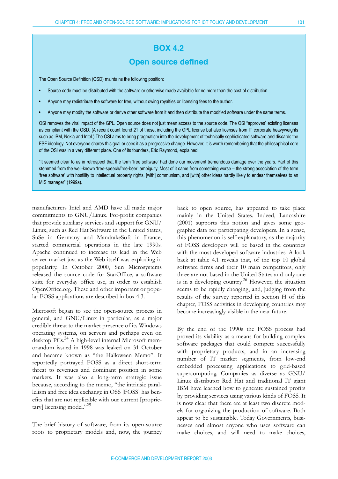## **BOX 4.2 Open source defined**

The Open Source Definition (OSD) maintains the following position:

- Source code must be distributed with the software or otherwise made available for no more than the cost of distribution.
- Anyone may redistribute the software for free, without owing royalties or licensing fees to the author.
- Anyone may modify the software or derive other software from it and then distribute the modified software under the same terms.

OSI removes the viral impact of the GPL. Open source does not just mean access to the source code. The OSI "approves" existing licenses as compliant with the OSD. (A recent count found 21 of these, including the GPL license but also licenses from IT corporate heavyweights such as IBM, Nokia and Intel.) The OSI aims to bring pragmatism into the development of technically sophisticated software and discards the FSF ideology. Not everyone shares this goal or sees it as a progressive change. However, it is worth remembering that the philosophical core of the OSI was in a very different place. One of its founders, Eric Raymond, explained:

"It seemed clear to us in retrospect that the term 'free software' had done our movement tremendous damage over the years. Part of this stemmed from the well-known 'free-speech/free-beer' ambiguity. Most of it came from something worse – the strong association of the term 'free software' with hostility to intellectual property rights, [with] communism, and [with] other ideas hardly likely to endear themselves to an MIS manager" (1999a).

manufacturers Intel and AMD have all made major commitments to GNU/Linux. For-profit companies that provide auxiliary services and support for GNU/ Linux, such as Red Hat Software in the United States, SuSe in Germany and MandrakeSoft in France, started commercial operations in the late 1990s. Apache continued to increase its lead in the Web server market just as the Web itself was exploding in popularity. In October 2000, Sun Microsystems released the source code for StarOffice, a software suite for everyday office use, in order to establish OpenOffice.org. These and other important or popular FOSS applications are described in box 4.3.

Microsoft began to see the open-source process in general, and GNU/Linux in particular, as a major credible threat to the market presence of its Windows operating systems, on servers and perhaps even on desktop PCs.24 A high-level internal Microsoft memorandum issued in 1998 was leaked on 31 October and became known as "the Halloween Memo". It reportedly portrayed FOSS as a direct short-term threat to revenues and dominant position in some markets. It was also a long-term strategic issue because, according to the memo, "the intrinsic parallelism and free idea exchange in OSS [FOSS] has benefits that are not replicable with our current [proprietary] licensing model."<sup>25</sup>

The brief history of software, from its open-source roots to proprietary models and, now, the journey

back to open source, has appeared to take place mainly in the United States. Indeed, Lancashire (2001) supports this notion and gives some geographic data for participating developers. In a sense, this phenomenon is self-explanatory, as the majority of FOSS developers will be based in the countries with the most developed software industries. A look back at table 4.1 reveals that, of the top 10 global software firms and their 10 main competitors, only three are not based in the United States and only one is in a developing country.<sup>26</sup> However, the situation seems to be rapidly changing, and, judging from the results of the survey reported in section H of this chapter, FOSS activities in developing countries may become increasingly visible in the near future.

By the end of the 1990s the FOSS process had proved its viability as a means for building complex software packages that could compete successfully with proprietary products, and in an increasing number of IT market segments, from low-end embedded processing applications to grid-based supercomputing. Companies as diverse as GNU/ Linux distributor Red Hat and traditional IT giant IBM have learned how to generate sustained profits by providing services using various kinds of FOSS. It is now clear that there are at least two discrete models for organizing the production of software. Both appear to be sustainable. Today Governments, businesses and almost anyone who uses software can make choices, and will need to make choices,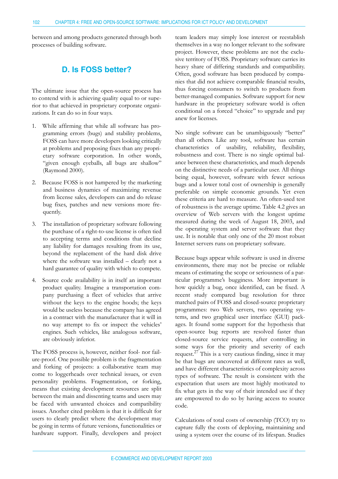between and among products generated through both processes of building software.

## **D. Is FOSS better?**

The ultimate issue that the open-source process has to contend with is achieving quality equal to or superior to that achieved in proprietary corporate organizations. It can do so in four ways.

- 1. While affirming that while all software has programming errors (bugs) and stability problems, FOSS can have more developers looking critically at problems and proposing fixes than any proprietary software corporation. In other words, "given enough eyeballs, all bugs are shallow" (Raymond 2000).
- 2. Because FOSS is not hampered by the marketing and business dynamics of maximizing revenue from license sales, developers can and do release bug fixes, patches and new versions more frequently.
- 3. The installation of proprietary software following the purchase of a right-to-use license is often tied to accepting terms and conditions that decline any liability for damages resulting from its use, beyond the replacement of the hard disk drive where the software was installed – clearly not a hard guarantee of quality with which to compete.
- 4. Source code availability is in itself an important product quality. Imagine a transportation company purchasing a fleet of vehicles that arrive without the keys to the engine hoods; the keys would be useless because the company has agreed in a contract with the manufacturer that it will in no way attempt to fix or inspect the vehicles' engines. Such vehicles, like analogous software, are obviously inferior.

The FOSS process is, however, neither fool- nor failure-proof. One possible problem is the fragmentation and forking of projects: a collaborative team may come to loggerheads over technical issues, or even personality problems. Fragmentation, or forking, means that existing development resources are split between the main and dissenting teams and users may be faced with unwanted choices and compatibility issues. Another cited problem is that it is difficult for users to clearly predict where the development may be going in terms of future versions, functionalities or hardware support. Finally, developers and project

team leaders may simply lose interest or reestablish themselves in a way no longer relevant to the software project. However, these problems are not the exclusive territory of FOSS. Proprietary software carries its heavy share of differing standards and compatibility. Often, good software has been produced by companies that did not achieve comparable financial results, thus forcing consumers to switch to products from better-managed companies. Software support for new hardware in the proprietary software world is often conditional on a forced "choice" to upgrade and pay anew for licenses.

No single software can be unambiguously "better" than all others. Like any tool, software has certain characteristics of usability, reliability, flexibility, robustness and cost. There is no single optimal balance between these characteristics, and much depends on the distinctive needs of a particular user. All things being equal, however, software with fewer serious bugs and a lower total cost of ownership is generally preferable on simple economic grounds. Yet even these criteria are hard to measure. An often-used test of robustness is the average uptime. Table 4.2 gives an overview of Web servers with the longest uptime measured during the week of August 18, 2003, and the operating system and server software that they use. It is notable that only one of the 20 most robust Internet servers runs on proprietary software.

Because bugs appear while software is used in diverse environments, there may not be precise or reliable means of estimating the scope or seriousness of a particular programme's bugginess. More important is how quickly a bug, once identified, can be fixed. A recent study compared bug resolution for three matched pairs of FOSS and closed-source proprietary programmes: two Web servers, two operating systems, and two graphical user interface (GUI) packages. It found some support for the hypothesis that open-source bug reports are resolved faster than closed-source service requests, after controlling in some ways for the priority and severity of each request.<sup>27</sup> This is a very cautious finding, since it may be that bugs are uncovered at different rates as well, and have different characteristics of complexity across types of software. The result is consistent with the expectation that users are most highly motivated to fix what gets in the way of their intended use if they are empowered to do so by having access to source code.

Calculations of total costs of ownership (TCO) try to capture fully the costs of deploying, maintaining and using a system over the course of its lifespan. Studies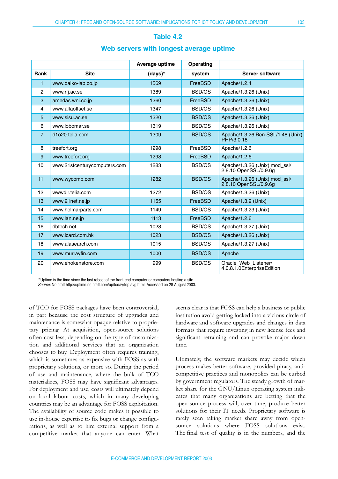### **Table 4.2**

## **Web servers with longest average uptime**

|                |                              | Average uptime | Operating     |                                                        |
|----------------|------------------------------|----------------|---------------|--------------------------------------------------------|
| Rank           | <b>Site</b>                  | (days)*        | system        | <b>Server software</b>                                 |
| 1              | www.daiko-lab.co.jp          | 1569           | FreeBSD       | Apache/1.2.4                                           |
| $\overline{c}$ | www.rfj.ac.se                | 1389           | <b>BSD/OS</b> | Apache/1.3.26 (Unix)                                   |
| 3              | amedas.wni.co.jp             | 1360           | FreeBSD       | Apache/1.3.26 (Unix)                                   |
| 4              | www.alfaoffset.se            | 1347           | BSD/OS        | Apache/1.3.26 (Unix)                                   |
| 5              | www.sisu.ac.se               | 1320           | <b>BSD/OS</b> | Apache/1.3.26 (Unix)                                   |
| 6              | www.lobomar.se               | 1319           | BSD/OS        | Apache/1.3.26 (Unix)                                   |
| $\overline{7}$ | d1o20.telia.com              | 1309           | <b>BSD/OS</b> | Apache/1.3.26 Ben-SSL/1.48 (Unix)<br>PHP/3.0.18        |
| 8              | treefort.org                 | 1298           | FreeBSD       | Apache/1.2.6                                           |
| 9              | www.treefort.org             | 1298           | FreeBSD       | Apache/1.2.6                                           |
| 10             | www.21stcenturycomputers.com | 1283           | <b>BSD/OS</b> | Apache/1.3.26 (Unix) mod_ssl/<br>2.8.10 OpenSSL/0.9.6g |
| 11             | www.wycomp.com               | 1282           | <b>BSD/OS</b> | Apache/1.3.26 (Unix) mod_ssl/<br>2.8.10 OpenSSL/0.9.6g |
| 12             | wwwdir.telia.com             | 1272           | BSD/OS        | Apache/1.3.26 (Unix)                                   |
| 13             | www.21net.ne.jp              | 1155           | FreeBSD       | Apache/1.3.9 (Unix)                                    |
| 14             | www.helmarparts.com          | 1149           | <b>BSD/OS</b> | Apache/1.3.23 (Unix)                                   |
| 15             | www.lan.ne.jp                | 1113           | FreeBSD       | Apache/1.2.6                                           |
| 16             | dbtech.net                   | 1028           | <b>BSD/OS</b> | Apache/1.3.27 (Unix)                                   |
| 17             | www.icard.com.hk             | 1023           | <b>BSD/OS</b> | Apache/1.3.26 (Unix)                                   |
| 18             | www.alasearch.com            | 1015           | <b>BSD/OS</b> | Apache/1.3.27 (Unix)                                   |
| 19             | www.murrayfin.com            | 1000           | <b>BSD/OS</b> | Apache                                                 |
| 20             | www.ehokenstore.com          | 999            | BSD/OS        | Oracle_Web_Listener/<br>4.0.8.1.0EnterpriseEdition     |

*\** Uptime is the time since the last reboot of the front-end computer or computers hosting a site.

*Source:* Netcraft http://uptime.netcraft.com/up/today/top.avg.html. Accessed on 28 August 2003.

of TCO for FOSS packages have been controversial, in part because the cost structure of upgrades and maintenance is somewhat opaque relative to proprietary pricing. At acquisition, open-source solutions often cost less, depending on the type of customization and additional services that an organization chooses to buy. Deployment often requires training, which is sometimes as expensive with FOSS as with proprietary solutions, or more so. During the period of use and maintenance, where the bulk of TCO materializes, FOSS may have significant advantages. For deployment and use, costs will ultimately depend on local labour costs, which in many developing countries may be an advantage for FOSS exploitation. The availability of source code makes it possible to use in-house expertise to fix bugs or change configurations, as well as to hire external support from a competitive market that anyone can enter. What

seems clear is that FOSS can help a business or public institution avoid getting locked into a vicious circle of hardware and software upgrades and changes in data formats that require investing in new license fees and significant retraining and can provoke major down time.

Ultimately, the software markets may decide which process makes better software, provided piracy, anticompetitive practices and monopolies can be curbed by government regulators. The steady growth of market share for the GNU/Linux operating system indicates that many organizations are betting that the open-source process will, over time, produce better solutions for their IT needs. Proprietary software is rarely seen taking market share away from opensource solutions where FOSS solutions exist. The final test of quality is in the numbers, and the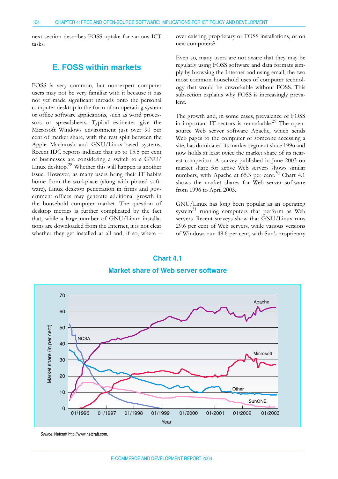next section describes FOSS uptake for various ICT tasks.

## **E. FOSS within markets**

FOSS is very common, but non-expert computer users may not be very familiar with it because it has not yet made significant inroads onto the personal computer desktop in the form of an operating system or office software applications, such as word processors or spreadsheets. Typical estimates give the Microsoft Windows environment just over 90 per cent of market share, with the rest split between the Apple Macintosh and GNU/Linux-based systems. Recent IDC reports indicate that up to 15.5 per cent of businesses are considering a switch to a GNU/ Linux desktop.28 Whether this will happen is another issue. However, as many users bring their IT habits home from the workplace (along with pirated software), Linux desktop penetration in firms and government offices may generate additional growth in the household computer market. The question of desktop metrics is further complicated by the fact that, while a large number of GNU/Linux installations are downloaded from the Internet, it is not clear whether they get installed at all and, if so, where – over existing proprietary or FOSS installations, or on new computers?

Even so, many users are not aware that they may be regularly using FOSS software and data formats simply by browsing the Internet and using email, the two most common household uses of computer technology that would be unworkable without FOSS. This subsection explains why FOSS is increasingly prevalent.

The growth and, in some cases, prevalence of FOSS in important IT sectors is remarkable.<sup>29</sup> The opensource Web server software Apache, which sends Web pages to the computer of someone accessing a site, has dominated its market segment since 1996 and now holds at least twice the market share of its nearest competitor. A survey published in June 2003 on market share for active Web servers shows similar numbers, with Apache at  $65.3$  per cent.<sup>30</sup> Chart 4.1 shows the market shares for Web server software from 1996 to April 2003.

GNU/Linux has long been popular as an operating system<sup>31</sup> running computers that perform as Web servers. Recent surveys show that GNU/Linux runs 29.6 per cent of Web servers, while various versions of Windows run 49.6 per cent, with Sun's proprietary



## **Chart 4.1 Market share of Web server software**

*Source:* Netcraft http://www.netcraft.com.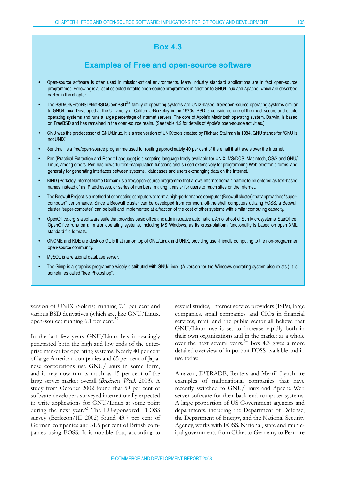## **Box 4.3**

## **Examples of Free and open-source software**

- Open-source software is often used in mission-critical environments. Many industry standard applications are in fact open-source programmes. Following is a list of selected notable open-source programmes in addition to GNU/Linux and Apache, which are described earlier in the chapter.
- The BSD/OS/FreeBSD/NetBSD/OpenBSD<sup>35</sup> family of operating systems are UNIX-based, free/open-source operating systems similar to GNU/Linux. Developed at the University of California-Berkeley in the 1970s, BSD is considered one of the most secure and stable operating systems and runs a large percentage of Internet servers. The core of Apple's Macintosh operating system, Darwin, is based on FreeBSD and has remained in the open-source realm. (See table 4.2 for details of Apple's open-source activities.)
- GNU was the predecessor of GNU/Linux. It is a free version of UNIX tools created by Richard Stallman in 1984. GNU stands for "GNU is not UNIX".
- Sendmail is a free/open-source programme used for routing approximately 40 per cent of the email that travels over the Internet.
- Perl (Practical Extraction and Report Language) is a scripting language freely available for UNIX, MS/DOS, Macintosh, OS/2 and GNU/ Linux, among others. Perl has powerful text-manipulation functions and is used extensively for programming Web electronic forms, and generally for generating interfaces between systems, databases and users exchanging data on the Internet.
- BIND (Berkeley Internet Name Domain) is a free/open-source programme that allows Internet domain names to be entered as text-based names instead of as IP addresses, or series of numbers, making it easier for users to reach sites on the Internet.
- The Beowulf Project is a method of connecting computers to form a high-performance computer (Beowulf cluster) that approaches "supercomputer" performance. Since a Beowulf cluster can be developed from common, off-the-shelf computers utilizing FOSS, a Beowulf cluster "super-computer" can be built and implemented at a fraction of the cost of other systems with similar computing capacity.
- OpenOffice.org is a software suite that provides basic office and administrative automation. An offshoot of Sun Microsystems' StarOffice, OpenOffice runs on all major operating systems, including MS Windows, as its cross-platform functionality is based on open XML standard file formats.
- GNOME and KDE are desktop GUIs that run on top of GNU/Linux and UNIX, providing user-friendly computing to the non-programmer open-source community.
- MySOL is a relational database server.
- The Gimp is a graphics programme widely distributed with GNU/Linux. (A version for the Windows operating system also exists.) It is sometimes called "free Photoshop".

version of UNIX (Solaris) running 7.1 per cent and various BSD derivatives (which are, like GNU/Linux, open-source) running  $6.1$  per cent.<sup>32</sup>

In the last few years GNU/Linux has increasingly penetrated both the high and low ends of the enterprise market for operating systems. Nearly 40 per cent of large American companies and 65 per cent of Japanese corporations use GNU/Linux in some form, and it may now run as much as 15 per cent of the large server market overall (*Business Week* 2003). A study from October 2002 found that 59 per cent of software developers surveyed internationally expected to write applications for GNU/Linux at some point during the next year.<sup>33</sup> The EU-sponsored FLOSS survey (Berlecon/III 2002) found 43.7 per cent of German companies and 31.5 per cent of British companies using FOSS. It is notable that, according to

several studies, Internet service providers (ISPs), large companies, small companies, and CIOs in financial services, retail and the public sector all believe that GNU/Linux use is set to increase rapidly both in their own organizations and in the market as a whole over the next several years.<sup>34</sup> Box 4.3 gives a more detailed overview of important FOSS available and in use today.

Amazon, E\*TRADE, Reuters and Merrill Lynch are examples of multinational companies that have recently switched to GNU/Linux and Apache Web server software for their back-end computer systems. A large proportion of US Government agencies and departments, including the Department of Defense, the Department of Energy, and the National Security Agency, works with FOSS. National, state and municipal governments from China to Germany to Peru are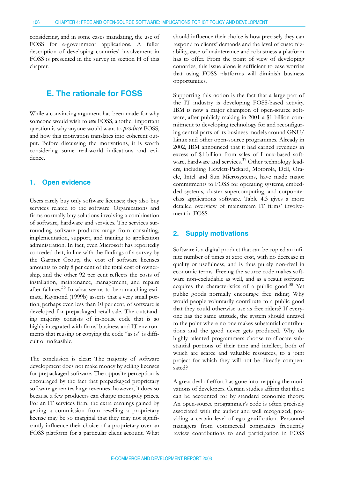considering, and in some cases mandating, the use of FOSS for e-government applications. A fuller description of developing countries' involvement in FOSS is presented in the survey in section H of this chapter.

## **E. The rationale for FOSS**

While a convincing argument has been made for why someone would wish to *use* FOSS, another important question is why anyone would want to *produce* FOSS, and how this motivation translates into coherent output. Before discussing the motivations, it is worth considering some real-world indications and evidence.

### **1. Open evidence**

Users rarely buy only software licenses; they also buy services related to the software. Organizations and firms normally buy solutions involving a combination of software, hardware and services. The services surrounding software products range from consulting, implementation, support, and training to application administration. In fact, even Microsoft has reportedly conceded that, in line with the findings of a survey by the Gartner Group, the cost of software licenses amounts to only 8 per cent of the total cost of ownership, and the other 92 per cent reflects the costs of installation, maintenance, management, and repairs after failures.36 In what seems to be a matching estimate, Raymond (1999b) asserts that a very small portion, perhaps even less than 10 per cent, of software is developed for prepackaged retail sale. The outstanding majority consists of in-house code that is so highly integrated with firms' business and IT environments that reusing or copying the code "as is" is difficult or unfeasible.

The conclusion is clear: The majority of software development does not make money by selling licenses for prepackaged software. The opposite perception is encouraged by the fact that prepackaged proprietary software generates large revenues; however, it does so because a few producers can charge monopoly prices. For an IT services firm, the extra earnings gained by getting a commission from reselling a proprietary license may be so marginal that they may not significantly influence their choice of a proprietary over an FOSS platform for a particular client account. What

should influence their choice is how precisely they can respond to clients' demands and the level of customizability, ease of maintenance and robustness a platform has to offer. From the point of view of developing countries, this issue alone is sufficient to ease worries that using FOSS platforms will diminish business opportunities.

Supporting this notion is the fact that a large part of the IT industry is developing FOSS-based activity. IBM is now a major champion of open-source software, after publicly making in 2001 a \$1 billion commitment to developing technology for and reconfiguring central parts of its business models around GNU/ Linux and other open-source programmes. Already in 2002, IBM announced that it had earned revenues in excess of \$1 billion from sales of Linux-based software, hardware and services. $37$  Other technology leaders, including Hewlett-Packard, Motorola, Dell, Oracle, Intel and Sun Microsystems, have made major commitments to FOSS for operating systems, embedded systems, cluster supercomputing, and corporateclass applications software. Table 4.3 gives a more detailed overview of mainstream IT firms' involvement in FOSS.

## **2. Supply motivations**

Software is a digital product that can be copied an infinite number of times at zero cost, with no decrease in quality or usefulness, and is thus purely non-rival in economic terms. Freeing the source code makes software non-excludable as well, and as a result software acquires the characteristics of a public good.<sup>38</sup> Yet public goods normally encourage free riding. Why would people voluntarily contribute to a public good that they could otherwise use as free riders? If everyone has the same attitude, the system should unravel to the point where no one makes substantial contributions and the good never gets produced. Why do highly talented programmers choose to allocate substantial portions of their time and intellect, both of which are scarce and valuable resources, to a joint project for which they will not be directly compensated?

A great deal of effort has gone into mapping the motivations of developers. Certain studies affirm that these can be accounted for by standard economic theory. An open-source programmer's code is often precisely associated with the author and well recognized, providing a certain level of ego gratification. Personnel managers from commercial companies frequently review contributions to and participation in FOSS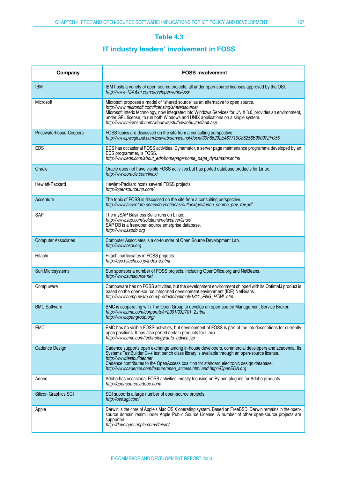## **Table 4.3**

## **IT industry leaders' involvement in FOSS**

| Company                    | <b>FOSS involvement</b>                                                                                                                                                                                                                                                                                                                                                                                |  |  |
|----------------------------|--------------------------------------------------------------------------------------------------------------------------------------------------------------------------------------------------------------------------------------------------------------------------------------------------------------------------------------------------------------------------------------------------------|--|--|
| <b>IBM</b>                 | IBM hosts a variety of open-source projects, all under open-source licenses approved by the OSI.<br>http://www-124.ibm.com/developerworks/oss/                                                                                                                                                                                                                                                         |  |  |
| Microsoft                  | Microsoft proposes a model of "shared source" as an alternative to open source.<br>http://www.microsoft.com/licensing/sharedsource/<br>Microsoft Interix technology, now integrated into Windows Services for UNIX 3.0, provides an environment,<br>under GPL license, to run both Windows and UNIX applications on a single system.<br>http://www.microsoft.com/windows/sfu/howtobuy/default.asp      |  |  |
| Pricewaterhouse-Coopers    | FOSS topics are discussed on the site from a consulting perspective.<br>http://www.pwcglobal.com/Extweb/service.nsf/docid/30F66202E467710C85256B990072FC55                                                                                                                                                                                                                                             |  |  |
| EDS                        | EDS has occasional FOSS activities. Dynamator, a server page maintenance programme developed by an<br>EDS programmer, is FOSS.<br>http://www.eds.com/about_eds/homepage/home_page_dynamator.shtml                                                                                                                                                                                                      |  |  |
| Oracle                     | Oracle does not have visible FOSS activities but has ported database products for Linux.<br>http://www.oracle.com/linux/                                                                                                                                                                                                                                                                               |  |  |
| Hewlett-Packard            | Hewlett-Packard hosts several FOSS projects.<br>http://opensource.hp.com/                                                                                                                                                                                                                                                                                                                              |  |  |
| Accenture                  | The topic of FOSS is discussed on the site from a consulting perspective.<br>http://www.accenture.com/xdoc/en/ideas/outlook/pov/open_source_pov_rev.pdf                                                                                                                                                                                                                                                |  |  |
| SAP                        | The mySAP Business Suite runs on Linux.<br>http://www.sap.com/solutions/netweaver/linux/<br>SAP DB is a free/open-source enterprise database.<br>http://www.sapdb.org                                                                                                                                                                                                                                  |  |  |
| <b>Computer Associates</b> | Computer Associates is a co-founder of Open Source Development Lab.<br>http://www.osdl.org                                                                                                                                                                                                                                                                                                             |  |  |
| Hitachi                    | Hitachi participates in FOSS projects.<br>http://oss.hitachi.co.jp/index-e.html                                                                                                                                                                                                                                                                                                                        |  |  |
| Sun Microsystems           | Sun sponsors a number of FOSS projects, including OpenOffice.org and NetBeans.<br>http://www.sunsource.net                                                                                                                                                                                                                                                                                             |  |  |
| Compuware                  | Compuware has no FOSS activities, but the development environment shipped with its OptimalJ product is<br>based on the open-source integrated development environment (IDE) NetBeans.<br>http://www.compuware.com/products/optimalj/1811_ENG_HTML.htm                                                                                                                                                  |  |  |
| <b>BMC Software</b>        | BMC is cooperating with The Open Group to develop an open-source Management Service Broker.<br>http://www.bmc.com/corporate/nr2001/032701_2.html<br>http://www.opengroup.org/                                                                                                                                                                                                                          |  |  |
| <b>EMC</b>                 | EMC has no visible FOSS activities, but development of FOSS is part of the job descriptions for currently<br>open positions. It has also ported certain products for Linux.<br>http://www.emc.com/technology/auto_advice.jsp                                                                                                                                                                           |  |  |
| Cadence Design             | Cadence supports open exchange among in-house developers, commercial developers and academia. Its<br>Systems TestBuilder C++ test bench class library is available through an open-source license.<br>http://www.testbuilder.net<br>Cadence contributes to the OpenAccess coalition for standard electronic design database.<br>http://www.cadence.com/feature/open_access.html and http://OpenEDA.org |  |  |
| Adobe                      | Adobe has occasional FOSS activities, mostly focusing on Python plug-ins for Adobe products.<br>http://opensource.adobe.com/                                                                                                                                                                                                                                                                           |  |  |
| Silicon Graphics SGI       | SGI supports a large number of open-source projects.<br>http://oss.sgi.com/                                                                                                                                                                                                                                                                                                                            |  |  |
| Apple                      | Darwin is the core of Apple's Mac OS X operating system. Based on FreeBSD, Darwin remains in the open-<br>source domain realm under Apple Public Source License. A number of other open-source projects are<br>supported.<br>http://developer.apple.com/darwin/                                                                                                                                        |  |  |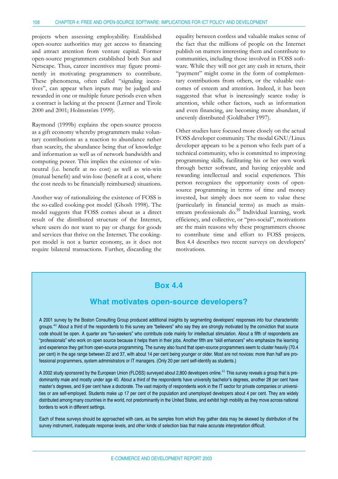projects when assessing employability. Established open-source authorities may get access to financing and attract attention from venture capital. Former open-source programmers established both Sun and Netscape. Thus, career incentives may figure prominently in motivating programmers to contribute. These phenomena, often called "signaling incentives", can appear when inputs may be judged and rewarded in one or multiple future periods even when a contract is lacking at the present (Lerner and Tirole 2000 and 2001; Holmström 1999).

Raymond (1999b) explains the open-source process as a gift economy whereby programmers make voluntary contributions as a reaction to abundance rather than scarcity, the abundance being that of knowledge and information as well as of network bandwidth and computing power. This implies the existence of winneutral (i.e. benefit at no cost) as well as win-win (mutual benefit) and win-lose (benefit at a cost, where the cost needs to be financially reimbursed) situations.

Another way of rationalizing the existence of FOSS is the so-called cooking-pot model (Ghosh 1998). The model suggests that FOSS comes about as a direct result of the distributed structure of the Internet, where users do not want to pay or charge for goods and services that thrive on the Internet. The cookingpot model is not a barter economy, as it does not require bilateral transactions. Further, discarding the equality between costless and valuable makes sense of the fact that the millions of people on the Internet publish on matters interesting them and contribute to communities, including those involved in FOSS software. While they will not get any cash in return, their "payment" might come in the form of complementary contributions from others, or the valuable outcomes of esteem and attention. Indeed, it has been suggested that what is increasingly scarce today is attention, while other factors, such as information and even financing, are becoming more abundant, if unevenly distributed (Goldhaber 1997).

Other studies have focused more closely on the actual FOSS developer community. The modal GNU/Linux developer appears to be a person who feels part of a technical community, who is committed to improving programming skills, facilitating his or her own work through better software, and having enjoyable and rewarding intellectual and social experiences. This person recognizes the opportunity costs of opensource programming in terms of time and money invested, but simply does not seem to value these (particularly in financial terms) as much as mainstream professionals do. $^{39}$  Individual learning, work efficiency, and collective, or "pro-social", motivations are the main reasons why these programmers choose to contribute time and effort to FOSS projects. Box 4.4 describes two recent surveys on developers' motivations.

## **Box 4.4**

## **What motivates open-source developers?**

A 2001 survey by the Boston Consulting Group produced additional insights by segmenting developers' responses into four characteristic groups.<sup>40</sup> About a third of the respondents to this survey are "believers" who say they are strongly motivated by the conviction that source code should be open. A quarter are "fun-seekers" who contribute code mainly for intellectual stimulation. About a fifth of respondents are "professionals" who work on open source because it helps them in their jobs. Another fifth are "skill enhancers" who emphasize the learning and experience they get from open-source programming. The survey also found that open-source programmers seem to cluster heavily (70.4 per cent) in the age range between 22 and 37, with about 14 per cent being younger or older. Most are not novices: more than half are professional programmers, system administrators or IT managers. (Only 20 per cent self-identify as students.)

A 2002 study sponsored by the European Union (FLOSS) surveyed about 2,800 developers online.<sup>41</sup> This survey reveals a group that is predominantly male and mostly under age 40. About a third of the respondents have university bachelor's degrees, another 28 per cent have master's degrees, and 9 per cent have a doctorate. The vast majority of respondents work in the IT sector for private companies or universities or are self-employed. Students make up 17 per cent of the population and unemployed developers about 4 per cent. They are widely distributed among many countries in the world, not predominantly in the United States, and exhibit high mobility as they move across national borders to work in different settings.

Each of these surveys should be approached with care, as the samples from which they gather data may be skewed by distribution of the survey instrument, inadequate response levels, and other kinds of selection bias that make accurate interpretation difficult.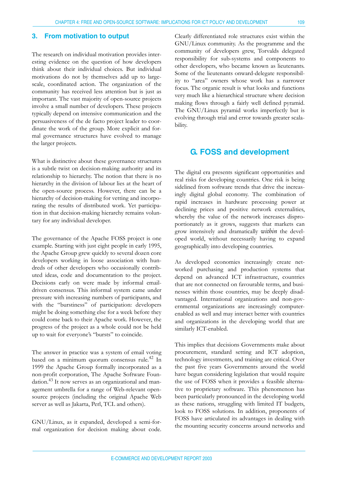## **3. From motivation to output**

The research on individual motivation provides interesting evidence on the question of how developers think about their individual choices. But individual motivations do not by themselves add up to largescale, coordinated action. The organization of the community has received less attention but is just as important. The vast majority of open-source projects involve a small number of developers. These projects typically depend on intensive communication and the persuasiveness of the de facto project leader to coordinate the work of the group. More explicit and formal governance structures have evolved to manage the larger projects.

What is distinctive about these governance structures is a subtle twist on decision-making authority and its relationship to hierarchy. The notion that there is no hierarchy in the division of labour lies at the heart of the open-source process. However, there can be a hierarchy of decision-making for vetting and incorporating the results of distributed work. Yet participation in that decision-making hierarchy remains voluntary for any individual developer.

The governance of the Apache FOSS project is one example. Starting with just eight people in early 1995, the Apache Group grew quickly to several dozen core developers working in loose association with hundreds of other developers who occasionally contributed ideas, code and documentation to the project. Decisions early on were made by informal emaildriven consensus. This informal system came under pressure with increasing numbers of participants, and with the "burstiness" of participation: developers might be doing something else for a week before they could come back to their Apache work. However, the progress of the project as a whole could not be held up to wait for everyone's "bursts" to coincide.

The answer in practice was a system of email voting based on a minimum quorum consensus rule.42 In 1999 the Apache Group formally incorporated as a non-profit corporation, The Apache Software Foundation.43 It now serves as an organizational and management umbrella for a range of Web-relevant opensource projects (including the original Apache Web server as well as Jakarta, Perl, TCL and others).

GNU/Linux, as it expanded, developed a semi-formal organization for decision making about code. Clearly differentiated role structures exist within the GNU/Linux community. As the programme and the community of developers grew, Torvalds delegated responsibility for sub-systems and components to other developers, who became known as lieutenants. Some of the lieutenants onward-delegate responsibility to "area" owners whose work has a narrower focus. The organic result is what looks and functions very much like a hierarchical structure where decision making flows through a fairly well defined pyramid. The GNU/Linux pyramid works imperfectly but is evolving through trial and error towards greater scalability.

## **G. FOSS and development**

The digital era presents significant opportunities and real risks for developing countries. One risk is being sidelined from software trends that drive the increasingly digital global economy. The combination of rapid increases in hardware processing power at declining prices and positive network externalities, whereby the value of the network increases disproportionately as it grows, suggests that markets can grow intensively and dramatically *within* the developed world, without necessarily having to expand geographically into developing countries.

As developed economies increasingly create networked purchasing and production systems that depend on advanced ICT infrastructure, countries that are not connected on favourable terms, and businesses within those countries, may be deeply disadvantaged. International organizations and non-governmental organizations are increasingly computerenabled as well and may interact better with countries and organizations in the developing world that are similarly ICT-enabled.

This implies that decisions Governments make about procurement, standard setting and ICT adoption, technology investments, and training are critical. Over the past five years Governments around the world have begun considering legislation that would require the use of FOSS when it provides a feasible alternative to proprietary software. This phenomenon has been particularly pronounced in the developing world as these nations, struggling with limited IT budgets, look to FOSS solutions. In addition, proponents of FOSS have articulated its advantages in dealing with the mounting security concerns around networks and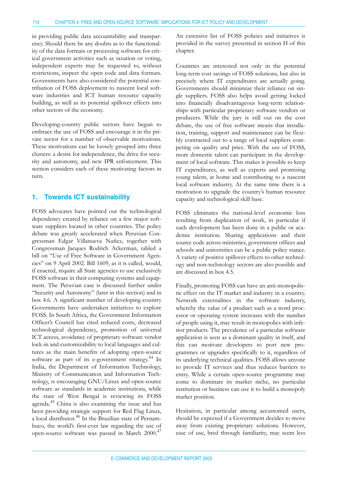in providing public data accountability and transparency. Should there be any doubts as to the functionality of the data formats or processing software for critical government activities such as taxation or voting, independent experts may be requested to, without restrictions, inspect the open code and data formats. Governments have also considered the potential contribution of FOSS deployment to nascent local software industries and ICT human resource capacity building, as well as its potential spillover effects into other sectors of the economy.

Developing-country public sectors have begun to embrace the use of FOSS and encourage it in the private sector for a number of observable motivations. These motivations can be loosely grouped into three clusters: a desire for independence, the drive for security and autonomy, and new IPR enforcement. This section considers each of these motivating factors in turn.

## **1. Towards ICT sustainability**

FOSS advocates have pointed out the technological dependency created by reliance on a few major software suppliers located in other countries. The policy debate was greatly accelerated when Peruvian Congressman Edgar Villanueva Nuñez, together with Congressman Jacques Rodrich Ackerman, tabled a bill on "Use of Free Software in Government Agencies" on 9 April 2002. Bill 1609, as it is called, would, if enacted, require all State agencies to use exclusively FOSS software in their computing systems and equipment. The Peruvian case is discussed further under "Security and Autonomy" (later in this section) and in box 4.6. A significant number of developing-country Governments have undertaken initiatives to explore FOSS. In South Africa, the Government Information Officer's Council has cited reduced costs, decreased technological dependency, promotion of universal ICT access, avoidance of proprietary software vendor lock-in and customizability to local languages and cultures as the main benefits of adopting open-source software as part of its e-government strategy.<sup>44</sup> In India, the Department of Information Technology, Ministry of Communication and Information Technology, is encouraging GNU/Linux and open-source software as standards in academic institutions, while the state of West Bengal is reviewing its FOSS agenda.45 China is also examining the issue and has been providing strategic support for Red Flag Linux, a local distributor.46 In the Brazilian state of Pernambuco, the world's first-ever law regarding the use of open-source software was passed in March 2000.<sup>47</sup>

An extensive list of FOSS policies and initiatives is provided in the survey presented in section H of this chapter.

Countries are interested not only in the potential long-term cost savings of FOSS solutions, but also in precisely where IT expenditures are actually going. Governments should minimize their reliance on single suppliers. FOSS also helps avoid getting locked into financially disadvantageous long-term relationships with particular proprietary software vendors or producers. While the jury is still out on the cost debate, the use of free software means that installation, training, support and maintenance can be flexibly contracted out to a range of local suppliers competing on quality and price. With the use of FOSS, more domestic talent can participate in the development of local software. This makes it possible to keep IT expenditures, as well as experts and promising young talent, at home and contributing to a nascent local software industry. At the same time there is a motivation to upgrade the country's human resource capacity and technological skill base.

FOSS eliminates the national-level economic loss resulting from duplication of work, in particular if such development has been done in a public or academic institution. Sharing applications and their source code across ministries, government offices and schools and universities can be a public policy stance. A variety of positive spillover effects to other technology and non-technology sectors are also possible and are discussed in box 4.5.

Finally, promoting FOSS can have an anti-monopolistic effect on the IT market and industry in a country. Network externalities in the software industry, whereby the value of a product such as a word processor or operating system increases with the number of people using it, may result in monopolies with inferior products. The prevalence of a particular software application is seen as a dominant quality in itself, and this can motivate developers to port new programmes or upgrades specifically to it, regardless of its underlying technical qualities. FOSS allows anyone to provide IT services and thus reduces barriers to entry. While a certain open-source programme may come to dominate its market niche, no particular institution or business can use it to build a monopoly market position.

Hesitation, in particular among accustomed users, should be expected if a Government decides to move away from existing proprietary solutions. However, ease of use, bred through familiarity, may seem less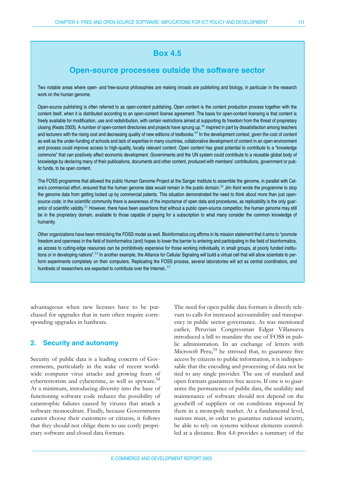## **Box 4.5**

## **Open-source processes outside the software sector**

Two notable areas where open- and free-source philosophies are making inroads are publishing and biology, in particular in the research work on the human genome.

Open-source publishing is often referred to as open-content publishing. Open content is the content production process together with the content itself, when it is distributed according to an open-content license agreement. The basis for open-content licensing is that content is freely available for modification, use and redistribution, with certain restrictions aimed at supporting its freedom from the threat of proprietary closing (Keats 2003). A number of open-content directories and projects have sprung up,<sup>48</sup> inspired in part by dissatisfaction among teachers and lecturers with the rising cost and decreasing quality of new editions of textbooks.<sup>49</sup> In the development context, given the cost of content as well as the under-funding of schools and lack of expertise in many countries, collaborative development of content in an open environment and process could improve access to high-quality, locally relevant content. Open content has great potential to contribute to a "knowledge commons" that can positively affect economic development. Governments and the UN system could contribute to a reusable global body of knowledge by declaring many of their publications, documents and other content, produced with members' contributions, government or public funds, to be open content.

The FOSS programme that allowed the public Human Genome Project at the Sanger Institute to assemble the genome, in parallel with Celera's commercial effort, ensured that the human genome data would remain in the public domain.<sup>50</sup> Jim Kent wrote the programme to stop the genome data from getting locked up by commercial patents. This situation demonstrated the need to think about more than just opensource code; in the scientific community there is awareness of the importance of open data and procedures, as replicability is the only quarantor of scientific validity.<sup>51</sup> However, there have been assertions that without a public open-source competitor, the human genome may still be in the proprietary domain, available to those capable of paying for a subscription to what many consider the common knowledge of humanity.

Other organizations have been mimicking the FOSS model as well. Bioinformatics.org affirms in its mission statement that it aims to "promote freedom and openness in the field of bioinformatics [and] hopes to lower the barrier to entering and participating in the field of bioinformatics, as access to cutting-edge resources can be prohibitively expensive for those working individually, in small groups, at poorly funded institutions or in developing nations".<sup>52</sup> In another example, the Alliance for Cellular Signaling will build a virtual cell that will allow scientists to perform experiments completely on their computers. Replicating the FOSS process, several laboratories will act as central coordinators, and hundreds of researchers are expected to contribute over the Internet..<sup>53</sup>

advantageous when new licenses have to be purchased for upgrades that in turn often require corresponding upgrades in hardware.

### **2. Security and autonomy**

Security of public data is a leading concern of Governments, particularly in the wake of recent worldwide computer virus attacks and growing fears of cyberterrorism and cybercrime, as well as spyware.<sup>54</sup> At a minimum, introducing diversity into the base of functioning software code reduces the possibility of catastrophic failures caused by viruses that attack a software monoculture. Finally, because Governments cannot choose their customers or citizens, it follows that they should not oblige them to use costly proprietary software and closed data formats.

The need for open public data formats is directly relevant to calls for increased accountability and transparency in public sector governance. As was mentioned earlier, Peruvian Congressman Edgar Villanueva introduced a bill to mandate the use of FOSS in public administration. In an exchange of letters with Microsoft Peru,<sup>55</sup> he stressed that, to guarantee free access by citizens to public information, it is indispensable that the encoding and processing of data not be tied to any single provider. The use of standard and open formats guarantees free access. If one is to guarantee the permanence of public data, the usability and maintenance of software should not depend on the goodwill of suppliers or on conditions imposed by them in a monopoly market. At a fundamental level, nations must, in order to guarantee national security, be able to rely on systems without elements controlled at a distance. Box 4.6 provides a summary of the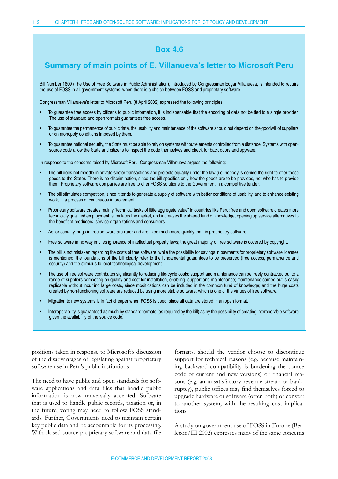## **Box 4.6**

## **Summary of main points of E. Villanueva's letter to Microsoft Peru**

Bill Number 1609 (The Use of Free Software in Public Administration), introduced by Congressman Edgar Villanueva, is intended to require the use of FOSS in all government systems, when there is a choice between FOSS and proprietary software.

Congressman Villanueva's letter to Microsoft Peru (8 April 2002) expressed the following principles:

- To guarantee free access by citizens to public information, it is indispensable that the encoding of data not be tied to a single provider. The use of standard and open formats guarantees free access.
- To guarantee the permanence of public data, the usability and maintenance of the software should not depend on the goodwill of suppliers or on monopoly conditions imposed by them.
- To guarantee national security, the State must be able to rely on systems without elements controlled from a distance. Systems with opensource code allow the State and citizens to inspect the code themselves and check for back doors and spyware.

In response to the concerns raised by Microsoft Peru, Congressman Villanueva argues the following:

- The bill does not meddle in private-sector transactions and protects equality under the law (i.e. nobody is denied the right to offer these goods to the State). There is no discrimination, since the bill specifies only how the goods are to be provided, not who has to provide them. Proprietary software companies are free to offer FOSS solutions to the Government in a competitive tender.
- The bill stimulates competition, since it tends to generate a supply of software with better conditions of usability, and to enhance existing work, in a process of continuous improvement.
- Proprietary software creates mainly "technical tasks of little aggregate value" in countries like Peru; free and open software creates more technically qualified employment, stimulates the market, and increases the shared fund of knowledge, opening up service alternatives to the benefit of producers, service organizations and consumers.
- As for security, bugs in free software are rarer and are fixed much more quickly than in proprietary software.
- Free software in no way implies ignorance of intellectual property laws; the great majority of free software is covered by copyright.
- The bill is not mistaken regarding the costs of free software: while the possibility for savings in payments for proprietary software licenses is mentioned, the foundations of the bill clearly refer to the fundamental guarantees to be preserved (free access, permanence and security) and the stimulus to local technological development.
- The use of free software contributes significantly to reducing life-cycle costs: support and maintenance can be freely contracted out to a range of suppliers competing on quality and cost for installation, enabling, support and maintenance; maintenance carried out is easily replicable without incurring large costs, since modifications can be included in the common fund of knowledge; and the huge costs created by non-functioning software are reduced by using more stable software, which is one of the virtues of free software.
- Migration to new systems is in fact cheaper when FOSS is used, since all data are stored in an open format.
- Interoperability is guaranteed as much by standard formats (as required by the bill) as by the possibility of creating interoperable software given the availability of the source code.

positions taken in response to Microsoft's discussion of the disadvantages of legislating against proprietary software use in Peru's public institutions.

The need to have public and open standards for software applications and data files that handle public information is now universally accepted. Software that is used to handle public records, taxation or, in the future, voting may need to follow FOSS standards. Further, Governments need to maintain certain key public data and be accountable for its processing. With closed-source proprietary software and data file formats, should the vendor choose to discontinue support for technical reasons (e.g. because maintaining backward compatibility is burdening the source code of current and new versions) or financial reasons (e.g. an unsatisfactory revenue stream or bankruptcy), public offices may find themselves forced to upgrade hardware or software (often both) or convert to another system, with the resulting cost implications.

A study on government use of FOSS in Europe (Berlecon/III 2002) expresses many of the same concerns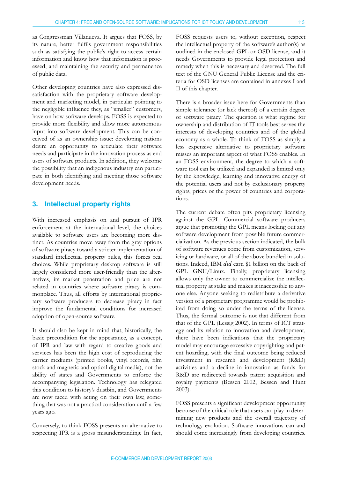as Congressman Villanueva. It argues that FOSS, by its nature, better fulfils government responsibilities such as satisfying the public's right to access certain information and know how that information is processed, and maintaining the security and permanence of public data.

Other developing countries have also expressed dissatisfaction with the proprietary software development and marketing model, in particular pointing to the negligible influence they, as "smaller" customers, have on how software develops. FOSS is expected to provide more flexibility and allow more autonomous input into software development. This can be conceived of as an ownership issue: developing nations desire an opportunity to articulate their software needs and participate in the innovation process as end users of software products. In addition, they welcome the possibility that an indigenous industry can participate in both identifying and meeting those software development needs.

## **3. Intellectual property rights**

With increased emphasis on and pursuit of IPR enforcement at the international level, the choices available to software users are becoming more distinct. As countries move away from the gray options of software piracy toward a stricter implementation of standard intellectual property rules, this forces real choices. While proprietary desktop software is still largely considered more user-friendly than the alternatives, its market penetration and price are not related in countries where software piracy is commonplace. Thus, all efforts by international proprietary software producers to decrease piracy in fact improve the fundamental conditions for increased adoption of open-source software.

It should also be kept in mind that, historically, the basic precondition for the appearance, as a concept, of IPR and law with regard to creative goods and services has been the high cost of reproducing the carrier mediums (printed books, vinyl records, film stock and magnetic and optical digital media), not the ability of states and Governments to enforce the accompanying legislation. Technology has relegated this condition to history's dustbin, and Governments are now faced with acting on their own law, something that was not a practical consideration until a few years ago.

Conversely, to think FOSS presents an alternative to respecting IPR is a gross misunderstanding. In fact,

FOSS requests users to, without exception, respect the intellectual property of the software's author(s) as outlined in the enclosed GPL or OSD license, and it needs Governments to provide legal protection and remedy when this is necessary and deserved. The full text of the GNU General Public License and the criteria for OSD licenses are contained in annexes I and II of this chapter.

There is a broader issue here for Governments than simple tolerance (or lack thereof) of a certain degree of software piracy. The question is what regime for ownership and distribution of IT tools best serves the interests of developing countries and of the global economy as a whole. To think of FOSS as simply a less expensive alternative to proprietary software misses an important aspect of what FOSS enables. In an FOSS environment, the degree to which a software tool can be utilized and expanded is limited only by the knowledge, learning and innovative energy of the potential users and not by exclusionary property rights, prices or the power of countries and corporations.

The current debate often pits proprietary licensing against the GPL. Commercial software producers argue that promoting the GPL means locking out any software development from possible future commercialization. As the previous section indicated, the bulk of software revenues come from customization, servicing or hardware, or all of the above bundled in solutions. Indeed, IBM *did* earn \$1 billion on the back of GPL GNU/Linux. Finally, proprietary licensing allows only the owner to commercialize the intellectual property at stake and makes it inaccessible to anyone else. Anyone seeking to redistribute a derivative version of a proprietary programme would be prohibited from doing so under the terms of the license. Thus, the formal outcome is not that different from that of the GPL (Lessig 2002). In terms of ICT strategy and its relation to innovation and development, there have been indications that the proprietary model may encourage excessive copyrighting and patent hoarding, with the final outcome being reduced investment in research and development (R&D) activities and a decline in innovation as funds for R&D are redirected towards patent acquisition and royalty payments (Bessen 2002, Bessen and Hunt 2003).

FOSS presents a significant development opportunity because of the critical role that users can play in determining new products and the overall trajectory of technology evolution. Software innovations can and should come increasingly from developing countries.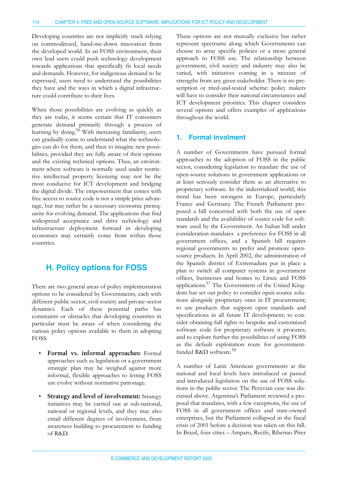Developing countries are not implicitly stuck relying on commoditized, hand-me-down innovation from the developed world. In an FOSS environment, their own lead users could push technology development towards applications that specifically fit local needs and demands. However, for indigenous demand to be expressed, users need to understand the possibilities they have and the ways in which a digital infrastructure could contribute to their lives.

When those possibilities are evolving as quickly as they are today, it seems certain that IT consumers generate demand primarily through a process of learning by doing. $56$  With increasing familiarity, users can gradually come to understand what the technologies can do for them, and then to imagine new possibilities, provided they are fully aware of their options and the existing technical options. Thus, an environment where software is normally used under restrictive intellectual property licensing may not be the most conducive for ICT development and bridging the digital divide. The empowerment that comes with free access to source code is not a simple price advantage, but may rather be a necessary economic prerequisite for evolving demand. The applications that find widespread acceptance and drive technology and infrastructure deployment forward in developing economies may certainly come from within those countries.

## **H. Policy options for FOSS**

There are two general areas of policy implementation options to be considered by Governments, each with different public-sector, civil-society and private-sector dynamics. Each of these potential paths has constraints or obstacles that developing countries in particular must be aware of when considering the various policy options available to them in adopting FOSS.

- **Formal vs. informal approaches:** Formal approaches such as legislation or a government strategic plan may be weighed against more informal, flexible approaches to letting FOSS use evolve without normative patronage.
- **Strategy and level of involvement:** Strategy initiatives may be carried out at sub-national, national or regional levels, and they may also entail different degrees of involvement, from awareness building to procurement to funding of R&D.

These options are not mutually exclusive but rather represent spectrums along which Governments can choose to array specific policies or a more general approach to FOSS use. The relationship between government, civil society and industry may also be varied, with initiatives coming in a mixture of strengths from any given stakeholder. There is no prescription or tried-and-tested scheme: policy makers will have to consider their national circumstances and ICT development priorities. This chapter considers several options and offers examples of applications throughout the world.

## **1. Formal involment**

A number of Governments have pursued formal approaches to the adoption of FOSS in the public sector, considering legislation to mandate the use of open-source solutions in government applications or at least seriously consider them as an alternative to proprietary software. In the industrialized world, this trend has been strongest in Europe, particularly France and Germany. The French Parliament proposed a bill concerned with both the use of open standards and the availability of source code for software used by the Government. An Italian bill under consideration mandates a preference for FOSS in all government offices, and a Spanish bill requires regional governments to prefer and promote opensource products. In April 2002, the administration of the Spanish district of Extremadura put in place a plan to switch all computer systems in government offices, businesses and homes to Linux and FOSS applications.57 The Government of the United Kingdom has set out policy to consider open-source solutions alongside proprietary ones in IT procurement; to use products that support open standards and specifications in all future IT development; to consider obtaining full rights to bespoke and customized software code for proprietary software it procures; and to explore further the possibilities of using FOSS as the default exploitation route for governmentfunded R&D software.<sup>58</sup>

A number of Latin American governments at the national and local levels have introduced or passed and introduced legislation on the use of FOSS solutions in the public sector. The Peruvian case was discussed above. Argentina's Parliament reviewed a proposal that mandates, with a few exceptions, the use of FOSS in all government offices and state-owned enterprises, but the Parliament collapsed in the fiscal crisis of 2001 before a decision was taken on this bill. In Brazil, four cities – Amparo, Recife, Ribeirao Pires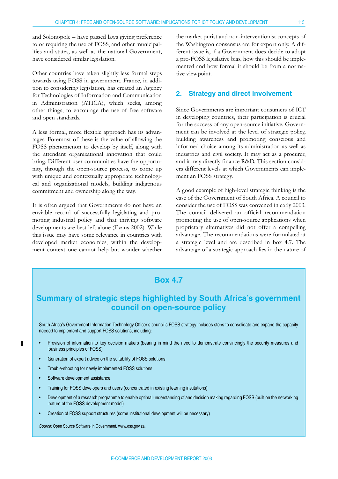and Solonopole – have passed laws giving preference to or requiring the use of FOSS, and other municipalities and states, as well as the national Government, have considered similar legislation.

Other countries have taken slightly less formal steps towards using FOSS in government. France, in addition to considering legislation, has created an Agency for Technologies of Information and Communication in Administration (ATICA), which seeks, among other things, to encourage the use of free software and open standards.

A less formal, more flexible approach has its advantages. Foremost of these is the value of allowing the FOSS phenomenon to develop by itself, along with the attendant organizational innovation that could bring. Different user communities have the opportunity, through the open-source process, to come up with unique and contextually appropriate technological and organizational models, building indigenous commitment and ownership along the way.

It is often argued that Governments do not have an enviable record of successfully legislating and promoting industrial policy and that thriving software developments are best left alone (Evans 2002). While this issue may have some relevance in countries with developed market economies, within the development context one cannot help but wonder whether

the market purist and non-interventionist concepts of the Washington consensus are for export only. A different issue is, if a Government does decide to adopt a pro-FOSS legislative bias, how this should be implemented and how formal it should be from a normative viewpoint.

## **2. Strategy and direct involvement**

Since Governments are important consumers of ICT in developing countries, their participation is crucial for the success of any open-source initiative. Government can be involved at the level of strategic policy, building awareness and promoting conscious and informed choice among its administration as well as industries and civil society. It may act as a procurer, and it may directly finance R&D. This section considers different levels at which Governments can implement an FOSS strategy.

A good example of high-level strategic thinking is the case of the Government of South Africa. A council to consider the use of FOSS was convened in early 2003. The council delivered an official recommendation promoting the use of open-source applications when proprietary alternatives did not offer a compelling advantage. The recommendations were formulated at a strategic level and are described in box 4.7. The advantage of a strategic approach lies in the nature of

## **Box 4.7**

## **Summary of strategic steps highlighted by South Africa's government council on open-source policy**

South Africa's Government Information Technology Officer's council's FOSS strategy includes steps to consolidate and expand the capacity needed to implement and support FOSS solutions, including:

- Provision of information to key decision makers (bearing in mind the need to demonstrate convincingly the security measures and business principles of FOSS)
- Generation of expert advice on the suitability of FOSS solutions
- Trouble-shooting for newly implemented FOSS solutions
- Software development assistance
- Training for FOSS developers and users (concentrated in existing learning institutions)
- Development of a research programme to enable optimal understanding of and decision making regarding FOSS (built on the networking nature of the FOSS development model)
- Creation of FOSS support structures (some institutional development will be necessary)

*Source:* Open Source Software in Government, www.oss.gov.za.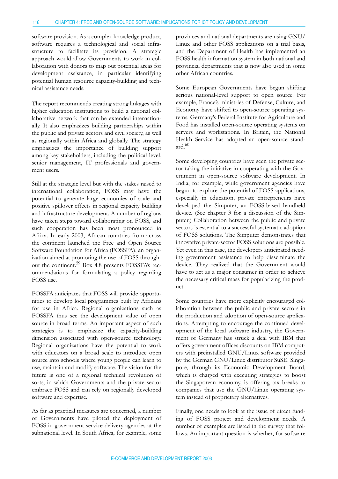software provision. As a complex knowledge product, software requires a technological and social infrastructure to facilitate its provision. A strategic approach would allow Governments to work in collaboration with donors to map out potential areas for development assistance, in particular identifying potential human resource capacity-building and technical assistance needs.

The report recommends creating strong linkages with higher education institutions to build a national collaborative network that can be extended internationally. It also emphasizes building partnerships within the public and private sectors and civil society, as well as regionally within Africa and globally. The strategy emphasizes the importance of building support among key stakeholders, including the political level, senior management, IT professionals and government users.

Still at the strategic level but with the stakes raised to international collaboration, FOSS may have the potential to generate large economies of scale and positive spillover effects in regional capacity building and infrastructure development. A number of regions have taken steps toward collaborating on FOSS, and such cooperation has been most pronounced in Africa. In early 2003, African countries from across the continent launched the Free and Open Source Software Foundation for Africa (FOSSFA), an organization aimed at promoting the use of FOSS throughout the continent.59 Box 4.8 presents FOSSFA's recommendations for formulating a policy regarding FOSS use.

FOSSFA anticipates that FOSS will provide opportunities to develop local programmes built by Africans for use in Africa. Regional organizations such as FOSSFA thus see the development value of open source in broad terms. An important aspect of such strategies is to emphasize the capacity-building dimension associated with open-source technology. Regional organizations have the potential to work with educators on a broad scale to introduce open source into schools where young people can learn to use, maintain and modify software. The vision for the future is one of a regional technical revolution of sorts, in which Governments and the private sector embrace FOSS and can rely on regionally developed software and expertise.

As far as practical measures are concerned, a number of Governments have piloted the deployment of FOSS in government service delivery agencies at the subnational level. In South Africa, for example, some

provinces and national departments are using GNU/ Linux and other FOSS applications on a trial basis, and the Department of Health has implemented an FOSS health information system in both national and provincial departments that is now also used in some other African countries.

Some European Governments have begun shifting serious national-level support to open source. For example, France's ministries of Defense, Culture, and Economy have shifted to open-source operating systems. Germany's Federal Institute for Agriculture and Food has installed open-source operating systems on servers and workstations. In Britain, the National Health Service has adopted an open-source standard. $60$ 

Some developing countries have seen the private sector taking the initiative in cooperating with the Government in open-source software development. In India, for example, while government agencies have begun to explore the potential of FOSS applications, especially in education, private entrepreneurs have developed the Simputer, an FOSS-based handheld device. (See chapter 3 for a discussion of the Simputer.) Collaboration between the public and private sectors is essential to a successful systematic adoption of FOSS solutions. The Simputer demonstrates that innovative private-sector FOSS solutions are possible. Yet even in this case, the developers anticipated needing government assistance to help disseminate the device. They realized that the Government would have to act as a major consumer in order to achieve the necessary critical mass for popularizing the product.

Some countries have more explicitly encouraged collaboration between the public and private sectors in the production and adoption of open-source applications. Attempting to encourage the continued development of the local software industry, the Government of Germany has struck a deal with IBM that offers government offices discounts on IBM computers with preinstalled GNU/Linux software provided by the German GNU/Linux distributor SuSE. Singapore, through its Economic Development Board, which is charged with executing strategies to boost the Singaporean economy, is offering tax breaks to companies that use the GNU/Linux operating system instead of proprietary alternatives.

Finally, one needs to look at the issue of direct funding of FOSS project and development needs. A number of examples are listed in the survey that follows. An important question is whether, for software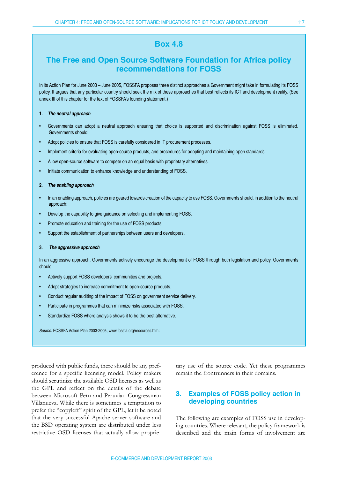## **Box 4.8**

## **The Free and Open Source Software Foundation for Africa policy recommendations for FOSS**

In its Action Plan for June 2003 – June 2005, FOSSFA proposes three distinct approaches a Government might take in formulating its FOSS policy. It argues that any particular country should seek the mix of these approaches that best reflects its ICT and development reality. (See annex III of this chapter for the text of FOSSFA's founding statement.)

#### **1.** *The neutral approach*

- Governments can adopt a neutral approach ensuring that choice is supported and discrimination against FOSS is eliminated. Governments should:
- Adopt policies to ensure that FOSS is carefully considered in IT procurement processes.
- Implement criteria for evaluating open-source products, and procedures for adopting and maintaining open standards.
- Allow open-source software to compete on an equal basis with proprietary alternatives.
- Initiate communication to enhance knowledge and understanding of FOSS.

#### **2.** *The enabling approach*

- In an enabling approach, policies are geared towards creation of the capacity to use FOSS. Governments should, in addition to the neutral approach:
- Develop the capability to give guidance on selecting and implementing FOSS.
- Promote education and training for the use of FOSS products.
- Support the establishment of partnerships between users and developers.

#### **3.** *The aggressive approach*

In an aggressive approach, Governments actively encourage the development of FOSS through both legislation and policy. Governments should:

- Actively support FOSS developers' communities and projects.
- Adopt strategies to increase commitment to open-source products.
- Conduct regular auditing of the impact of FOSS on government service delivery.
- Participate in programmes that can minimize risks associated with FOSS.
- Standardize FOSS where analysis shows it to be the best alternative.

*Source:* FOSSFA Action Plan 2003-2005, www.fossfa.org/resources.html.

produced with public funds, there should be any preference for a specific licensing model. Policy makers should scrutinize the available OSD licenses as well as the GPL and reflect on the details of the debate between Microsoft Peru and Peruvian Congressman Villanueva. While there is sometimes a temptation to prefer the "copyleft" spirit of the GPL, let it be noted that the very successful Apache server software and the BSD operating system are distributed under less restrictive OSD licenses that actually allow proprietary use of the source code. Yet these programmes remain the frontrunners in their domains.

## **3. Examples of FOSS policy action in developing countries**

The following are examples of FOSS use in developing countries. Where relevant, the policy framework is described and the main forms of involvement are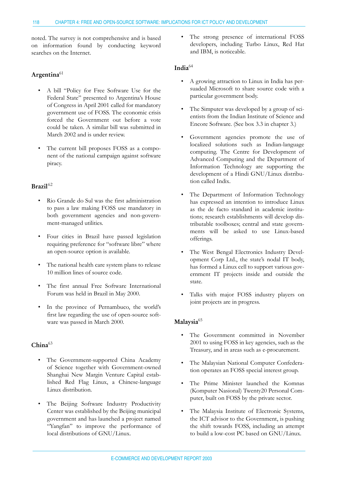noted. The survey is not comprehensive and is based on information found by conducting keyword searches on the Internet.

## **Argentina**<sup>61</sup>

- A bill "Policy for Free Software Use for the Federal State" presented to Argentina's House of Congress in April 2001 called for mandatory government use of FOSS. The economic crisis forced the Government out before a vote could be taken. A similar bill was submitted in March 2002 and is under review.
- The current bill proposes FOSS as a component of the national campaign against software piracy.

## **Brazil**<sup>62</sup>

- Rio Grande do Sul was the first administration to pass a law making FOSS use mandatory in both government agencies and non-government-managed utilities.
- Four cities in Brazil have passed legislation requiring preference for "software libre" where an open-source option is available.
- The national health care system plans to release 10 million lines of source code.
- The first annual Free Software International Forum was held in Brazil in May 2000.
- In the province of Pernambuco, the world's first law regarding the use of open-source software was passed in March 2000.

## **China**<sup>63</sup>

- The Government-supported China Academy of Science together with Government-owned Shanghai New Margin Venture Capital established Red Flag Linux, a Chinese-language Linux distribution.
- The Beijing Software Industry Productivity Center was established by the Beijing municipal government and has launched a project named "Yangfan" to improve the performance of local distributions of GNU/Linux.

The strong presence of international FOSS developers, including Turbo Linux, Red Hat and IBM, is noticeable.

## **India**<sup>64</sup>

- A growing attraction to Linux in India has persuaded Microsoft to share source code with a particular government body.
- The Simputer was developed by a group of scientists from the Indian Institute of Science and Encore Software. (See box 3.3 in chapter 3.)
- Government agencies promote the use of localized solutions such as Indian-language computing. The Centre for Development of Advanced Computing and the Department of Information Technology are supporting the development of a Hindi GNU/Linux distribution called Indix.
- The Department of Information Technology has expressed an intention to introduce Linux as the de facto standard in academic institutions; research establishments will develop distributable toolboxes; central and state governments will be asked to use Linux-based offerings.
- The West Bengal Electronics Industry Development Corp Ltd., the state's nodal IT body, has formed a Linux cell to support various government IT projects inside and outside the state.
- Talks with major FOSS industry players on joint projects are in progress.

## **Malaysia**<sup>65</sup>

- The Government committed in November 2001 to using FOSS in key agencies, such as the Treasury, and in areas such as e-procurement.
- The Malaysian National Computer Confederation operates an FOSS special interest group.
- The Prime Minister launched the Komnas (Komputer Nasional) Twenty20 Personal Computer, built on FOSS by the private sector.
- The Malaysia Institute of Electronic Systems, the ICT advisor to the Government, is pushing the shift towards FOSS, including an attempt to build a low-cost PC based on GNU/Linux.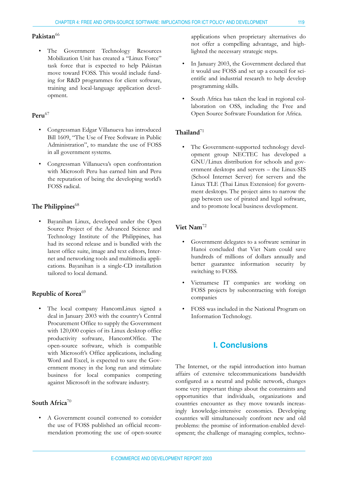### Pakistan<sup>66</sup>

• The Government Technology Resources Mobilization Unit has created a "Linux Force" task force that is expected to help Pakistan move toward FOSS. This would include funding for R&D programmes for client software, training and local-language application development.

## **Peru**<sup>67</sup>

- Congressman Edgar Villanueva has introduced Bill 1609, "The Use of Free Software in Public Administration", to mandate the use of FOSS in all government systems.
- Congressman Villanueva's open confrontation with Microsoft Peru has earned him and Peru the reputation of being the developing world's FOSS radical.

## The Philippines<sup>68</sup>

• Bayanihan Linux, developed under the Open Source Project of the Advanced Science and Technology Institute of the Philippines, has had its second release and is bundled with the latest office suite, image and text editors, Internet and networking tools and multimedia applications. Bayanihan is a single-CD installation tailored to local demand.

### **Republic of Korea**<sup>69</sup>

• The local company HancomLinux signed a deal in January 2003 with the country's Central Procurement Office to supply the Government with 120,000 copies of its Linux desktop office productivity software, HancomOffice. The open-source software, which is compatible with Microsoft's Office applications, including Word and Excel, is expected to save the Government money in the long run and stimulate business for local companies competing against Microsoft in the software industry.

## **South Africa**<sup>70</sup>

• A Government council convened to consider the use of FOSS published an official recommendation promoting the use of open-source

applications when proprietary alternatives do not offer a compelling advantage, and highlighted the necessary strategic steps.

- In January 2003, the Government declared that it would use FOSS and set up a council for scientific and industrial research to help develop programming skills.
- South Africa has taken the lead in regional collaboration on OSS, including the Free and Open Source Software Foundation for Africa.

## **Thailand**<sup>71</sup>

The Government-supported technology development group NECTEC has developed a GNU/Linux distribution for schools and government desktops and servers – the Linux-SIS (School Internet Server) for servers and the Linux TLE (Thai Linux Extension) for government desktops. The project aims to narrow the gap between use of pirated and legal software, and to promote local business development.

## **Viet Nam**<sup>72</sup>

- Government delegates to a software seminar in Hanoi concluded that Viet Nam could save hundreds of millions of dollars annually and better guarantee information security by switching to FOSS.
- Vietnamese IT companies are working on FOSS projects by subcontracting with foreign companies
- FOSS was included in the National Program on Information Technology.

## **I. Conclusions**

The Internet, or the rapid introduction into human affairs of extensive telecommunications bandwidth configured as a neutral and public network, changes some very important things about the constraints and opportunities that individuals, organizations and countries encounter as they move towards increasingly knowledge-intensive economies. Developing countries will simultaneously confront new and old problems: the promise of information-enabled development; the challenge of managing complex, techno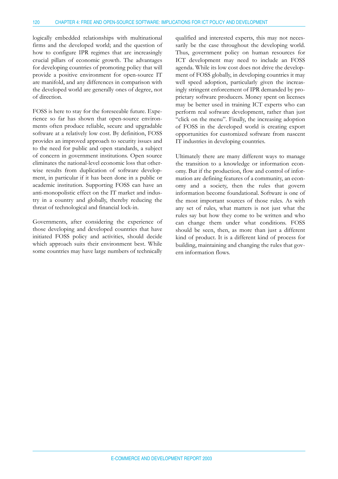logically embedded relationships with multinational firms and the developed world; and the question of how to configure IPR regimes that are increasingly crucial pillars of economic growth. The advantages for developing countries of promoting policy that will provide a positive environment for open-source IT are manifold, and any differences in comparison with the developed world are generally ones of degree, not of direction.

FOSS is here to stay for the foreseeable future. Experience so far has shown that open-source environments often produce reliable, secure and upgradable software at a relatively low cost. By definition, FOSS provides an improved approach to security issues and to the need for public and open standards, a subject of concern in government institutions. Open source eliminates the national-level economic loss that otherwise results from duplication of software development, in particular if it has been done in a public or academic institution. Supporting FOSS can have an anti-monopolistic effect on the IT market and industry in a country and globally, thereby reducing the threat of technological and financial lock-in.

Governments, after considering the experience of those developing and developed countries that have initiated FOSS policy and activities, should decide which approach suits their environment best. While some countries may have large numbers of technically

qualified and interested experts, this may not necessarily be the case throughout the developing world. Thus, government policy on human resources for ICT development may need to include an FOSS agenda. While its low cost does not drive the development of FOSS globally, in developing countries it may well speed adoption, particularly given the increasingly stringent enforcement of IPR demanded by proprietary software producers. Money spent on licenses may be better used in training ICT experts who can perform real software development, rather than just "click on the menu". Finally, the increasing adoption of FOSS in the developed world is creating export opportunities for customized software from nascent IT industries in developing countries.

Ultimately there are many different ways to manage the transition to a knowledge or information economy. But if the production, flow and control of information are defining features of a community, an economy and a society, then the rules that govern information become foundational. Software is one of the most important sources of those rules. As with any set of rules, what matters is not just what the rules say but how they come to be written and who can change them under what conditions. FOSS should be seen, then, as more than just a different kind of product. It is a different kind of process for building, maintaining and changing the rules that govern information flows.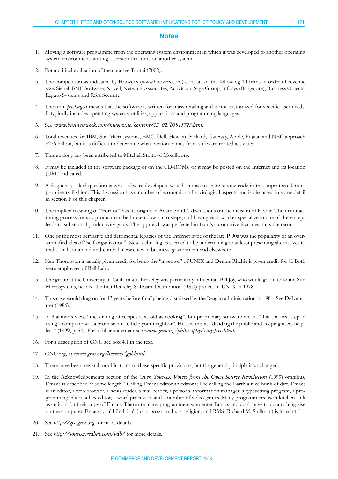#### **Notes**

- 1. Moving a software programme from the operating system environment in which it was developed to another operating system environment; writing a version that runs on another system.
- 2. For a critical evaluation of the data see Tuomi (2002).
- 3. The competition as indicated by Hoover's (www.hoovers.com) consists of the following 10 firms in order of revenue size: Siebel, BMC Software, Novell, Network Associates, Activision, Sage Group, Infosys (Bangalore), Business Objects, Legato Systems and RSA Security.
- 4. The term *packaged* means that the software is written for mass retailing and is not customized for specific user needs. It typically includes operating systems, utilities, applications and programming languages.
- 5. See *www.businessweek.com/magazine/content/03\_02/b3815723.htm.*
- 6. Total revenues for IBM, Sun Microsystems, EMC, Dell, Hewlett-Packard, Gateway, Apple, Fujitsu and NEC approach \$276 billion, but it is difficult to determine what portion comes from software-related activities.
- 7. This analogy has been attributed to Mitchell Stoltz of Mozilla.org.
- 8. It may be included in the software package or on the CD-ROMs, or it may be posted on the Internet and its location (URL) indicated.
- 9. A frequently asked question is why software developers would choose to share source code in this unprotected, nonproprietary fashion. This discussion has a number of economic and sociological aspects and is discussed in some detail in section F of this chapter.
- 10. The implied meaning of "Fordist" has its origins in Adam Smith's discussions on the division of labour. The manufacturing process for any product can be broken down into steps, and having each worker specialize in one of these steps leads to substantial productivity gains. The approach was perfected in Ford's automotive factories, thus the term.
- 11. One of the most pervasive and detrimental legacies of the Internet hype of the late 1990s was the popularity of an oversimplified idea of "self-organization". New technologies seemed to be undermining or at least presenting alternatives to traditional command-and-control hierarchies in business, government and elsewhere.
- 12. Ken Thompson is usually given credit for being the "inventor" of UNIX and Dennis Ritchie is given credit for C. Both were employees of Bell Labs.
- 13. The group at the University of California at Berkeley was particularly influential. Bill Joy, who would go on to found Sun Microsystems, headed the first Berkeley Software Distribution (BSD) project of UNIX in 1978.
- 14. This case would drag on for 13 years before finally being dismissed by the Reagan administration in 1981. See DeLamarter (1986).
- 15. In Stallman's view, "the sharing of recipes is as old as cooking", but proprietary software meant "that the first step in using a computer was a promise not to help your neighbor". He saw this as "dividing the public and keeping users helpless" (1999, p. 54). For a fuller statement see *www.gnu.org/philosophy/why-free.html.*
- 16. For a description of GNU see box 4.1 in the text.
- 17. GNU.org, at *www.gnu.org/licenses/gpl.html.*
- 18. There have been several modifications to these specific provisions, but the general principle is unchanged.
- 19. In the Acknowledgements section of the *Open Sources: Voices from the Open Source Revolution* (1999) omnibus, Emacs is described at some length: "Calling Emacs editor an editor is like calling the Earth a nice hunk of dirt. Emacs is an editor, a web browser, a news reader, a mail reader, a personal information manager, a typesetting program, a programming editor, a hex editor, a word processor, and a number of video games. Many programmers use a kitchen sink as an icon for their copy of Emacs. There are many programmers who enter Emacs and don't have to do anything else on the computer. Emacs, you'll find, isn't just a program, but a religion, and RMS (Richard M. Stallman) is its saint."
- 20. See *http://gcc.gnu.org* for more details.
- 21. See *http://sources.redhat.com/gdb/* for more details.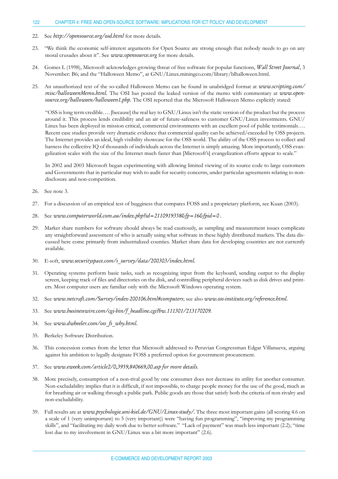- 22. See *http://opensource.org/osd.html* for more details.
- 23. "We think the economic self-interest arguments for Open Source are strong enough that nobody needs to go on any moral crusades about it". See *www.opensource.org* for more details.
- 24. Gomes L (1998), Microsoft acknowledges growing threat of free software for popular functions, *Wall Street Journal*, 3 November: B6; and the "Halloween Memo", at GNU/Linux.miningco.com/library/blhalloween.html.
- 25. An unauthorized text of the so-called Halloween Memo can be found in unabridged format at *www.scripting.com/ misc/halloweenMemo.html.* The OSI has posted the leaked version of the memo with commentary at *www.opensource.org/halloween/halloween1.php.* The OSI reported that the Microsoft Halloween Memo explicitly stated:

"OSS is long term credible…. [because] the real key to GNU/Linux isn't the static version of the product but the process around it. This process lends credibility and an air of future-safeness to customer GNU/Linux investments. GNU/ Linux has been deployed in mission critical, commercial environments with an excellent pool of public testimonials…. Recent case studies provide very dramatic evidence that commercial quality can be achieved/exceeded by OSS projects. The Internet provides an ideal, high visibility showcase for the OSS world. The ability of the OSS process to collect and harness the collective IQ of thousands of individuals across the Internet is simply amazing. More importantly, OSS evangelization scales with the size of the Internet much faster than [Microsoft's] evangelization efforts appear to scale."

In 2002 and 2003 Microsoft began experimenting with allowing limited viewing of its source code to large customers and Governments that in particular may wish to audit for security concerns, under particular agreements relating to nondisclosure and non-competition.

- 26. See note 3.
- 27. For a discussion of an empirical test of bugginess that compares FOSS and a proprietary platform, see Kuan (2003).
- 28. See *www.computerworld.com.au/index.php?id=2110919358&fp=16&fpid=0 .*
- 29. Market share numbers for software should always be read cautiously, as sampling and measurement issues complicate any straightforward assessment of who is actually using what software in these highly distributed markets. The data discussed here come primarily from industrialized counties. Market share data for developing countries are not currently available.
- 30. E-soft, *www.securityspace.com/s\_survey/data/200303/index.html.*
- 31. Operating systems perform basic tasks, such as recognizing input from the keyboard, sending output to the display screen, keeping track of files and directories on the disk, and controlling peripheral devices such as disk drives and printers. Most computer users are familiar only with the Microsoft Windows operating system.
- 32. See *www.netcraft.com/Survey/index-200106.html#computers*; see also *www.oss-institute.org/reference.html.*
- 33. See *www.businesswire.com/cgi-bin/f\_headline.cgi?bw.111301/213170209.*
- 34. See *www.dwheeler.com/oss\_fs\_why.html.*
- 35. Berkeley Software Distribution.
- 36. This concession comes from the letter that Microsoft addressed to Peruvian Congressman Edgar Villanueva, arguing against his ambition to legally designate FOSS a preferred option for government procurement.
- 37. See *www.eweek.com/article2/0,3959,840669,00.asp for more details.*
- 38. More precisely, consumption of a non-rival good by one consumer does not decrease its utility for another consumer. Non-excludability implies that it is difficult, if not impossible, to charge people money for the use of the good, much as for breathing air or walking through a public park. Public goods are those that satisfy both the criteria of non-rivalry and non-excludability.
- 39. Full results are at *www.psychologie.uni-kiel.de/GNU/Linux-study/.* The three most important gains (all scoring 4.6 on a scale of 1 (very unimportant) to 5 (very important)) were "having fun programming", "improving my programming skills", and "facilitating my daily work due to better software." "Lack of payment" was much less important (2.2); "time lost due to my involvement in GNU/Linux was a bit more important" (2.6).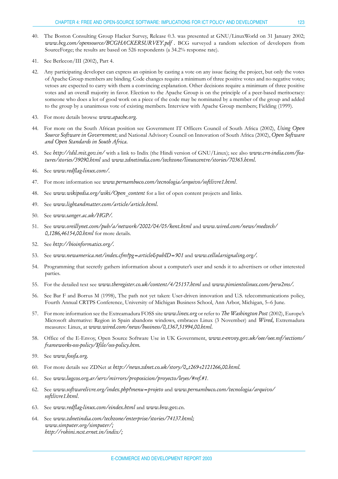- 40. The Boston Consulting Group Hacker Survey, Release 0.3. was presented at GNU/LinuxWorld on 31 January 2002; *www.bcg.com/opensource/BCGHACKERSURVEY.pdf .* BCG surveyed a random selection of developers from SourceForge; the results are based on 526 respondents (a 34.2% response rate).
- 41. See Berlecon/III (2002), Part 4.
- 42. Any participating developer can express an opinion by casting a vote on any issue facing the project, but only the votes of Apache Group members are binding. Code changes require a minimum of three positive votes and no negative votes; vetoes are expected to carry with them a convincing explanation. Other decisions require a minimum of three positive votes and an overall majority in favor. Election to the Apache Group is on the principle of a peer-based meritocracy: someone who does a lot of good work on a piece of the code may be nominated by a member of the group and added to the group by a unanimous vote of existing members. Interview with Apache Group members; Fielding (1999).
- 43. For more details browse *www.apache.org.*
- 44. For more on the South African position see Government IT Officers Council of South Africa (2002), *Using Open Source Software in Government*; and National Advisory Council on Innovation of South Africa (2002), *Open Software and Open Standards in South Africa.*
- 45. See *http://tdil.mit.gov.in/* with a link to Indix (the Hindi version of GNU/Linux); see also *www.crn-india.com/features/stories/39090.html* and *www.zdnetindia.com/techzone/linuxcentre/stories/70365.html.*
- 46. See *www.redflag-linux.com/.*
- 47. For more information see *www.pernambuco.com/tecnologia/arquivo/softlivre1.html*.
- 48. See *www.wikipedia.org/wiki/Open\_content* for a list of open content projects and links.
- 49. See *www.lightandmatter.com/article/article.html.*
- 50. See *www.sanger.ac.uk/HGP/.*
- 51. See *www.oreillynet.com/pub/a/network/2002/04/05/kent.html* and *www.wired.com/news/medtech/ 0,1286,46154,00.html* for more details.
- 52. See *http://bioinformatics.org/.*
- 53. See *www.newamerica.net/index.cfm?pg=article&pubID=901* and *www.cellularsignaling.org/.*
- 54. Programming that secretly gathers information about a computer's user and sends it to advertisers or other interested parties.
- 55. For the detailed text see *www.theregister.co.uk/content/4/25157.html* and *www.pimientolinux.com/peru2ms/.*
- 56. See Bar F and Borrus M (1998), The path not yet taken: User-driven innovation and U.S. telecommunications policy, Fourth Annual CRTPS Conference, University of Michigan Business School, Ann Arbor, Michigan, 5–6 June.
- 57. For more information see the Extreamadura FOSS site *www.linex.org* or refer to *The Washington Post* (2002), Europe's Microsoft alternative: Region in Spain abandons windows, embraces Linux (3 November) and *Wired,* Extremadura measures: Linux, at *www.wired.com/news/business/0,1367,51994,00.html.*
- 58. Office of the E-Envoy, Open Source Software Use in UK Government, *www.e-envoy.gov.uk/oee/oee.nsf/sections/ frameworks-oss-policy/\$file/oss-policy.htm.*
- 59. See *www.fossfa.org.*
- 60. For more details see ZDNet at *http://news.zdnet.co.uk/story/0,,t269-s2121266,00.html.*
- 61. See *www.lugcos.org.ar/serv/mirrors/proposicion/proyecto/leyes/#ref.#1*.
- 62. See *www.softwarelivre.org/index.php?menu=projeto* and *www.pernambuco.com/tecnologia/arquivo/ softlivre1.html*.
- 63. See *www.redflag-linux.com/eindex.html* and *www.bsw.gov.c*n.
- 64. See *www.zdnetindia.com/techzone/enterprise/stories/74137.html; www.simputer.org/simputer/; http://rohini.ncst.ernet.in/indix/;*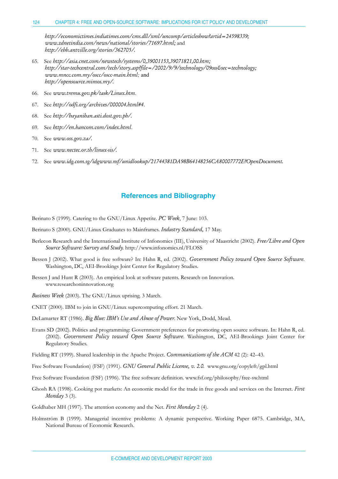*http://economictimes.indiatimes.com/cms.dll/xml/uncomp/articleshow?artid=24598339; www.zdnetindia.com/news/national/stories/71697.html;* and *http://ebb.antville.org/stories/362705/.*

- 65. See *http://asia.cnet.com/newstech/systems/0,39001153,39071821,00.htm; http://star-techcentral.com/tech/story.asp?file=/2002/9/9/technology/09oss&sec=technology; www.mncc.com.my/oscc/oscc-main.html;* and *http://opensource.mimos.my/.*
- 66. See *www.tremu.gov.pk/task/Linux.htm*.
- 67. See *http://odfi.org/archives/000004.html#4*.
- 68. See *http://bayanihan.asti.dost.gov.ph/.*
- 69. See *http://en.hancom.com/index.html*.
- 70. See *www.oss.gov.za/.*
- 71. See *www.nectec.or.th/linux-sis/.*
- 72. See *www.idg.com.sg/idgwww.nsf/unidlookup/21744381DA98B64148256CA80007772E?OpenDocument.*

### **References and Bibliography**

Berinato S (1999). Catering to the GNU/Linux Appetite. *PC Week*, 7 June: 103.

- Berinato S (2000). GNU/Linux Graduates to Mainframes. *Industry Standard,* 17 May.
- Berlecon Research and the International Institute of Infonomics (III), University of Maastricht (2002). *Free/Libre and Open Source Software: Survey and Study*. http://www.infonomics.nl/FLOSS
- Bessen J (2002). What good is free software? In: Hahn R, ed. (2002). *Government Policy toward Open Source Software*. Washington, DC, AEI-Brookings Joint Center for Regulatory Studies.
- Bessen J and Hunt R (2003). An empirical look at software patents. Research on Innovation. www.researchoninnovation.org
- *Business Week* (2003). The GNU/Linux uprising. 3 March.
- CNET (2000). IBM to join in GNU/Linux supercomputing effort. 21 March.
- DeLamarter RT (1986). *Big Blue: IBM's Use and Abuse of Power*. New York, Dodd, Mead.
- Evans SD (2002). Politics and programming: Government preferences for promoting open source software. In: Hahn R, ed. (2002). *Government Policy toward Open Source Software*. Washington, DC, AEI-Brookings Joint Center for Regulatory Studies.
- Fielding RT (1999). Shared leadership in the Apache Project. *Communications of the ACM* 42 (2): 42–43.
- Free Software Foundation) (FSF) (1991). *GNU General Public License, v. 2.0.* www.gnu.org/copyleft/gpl.html
- Free Software Foundation (FSF) (1996). The free software definition. www.fsf.org/philosophy/free-sw.html
- Ghosh RA (1998). Cooking pot markets: An economic model for the trade in free goods and services on the Internet. *First Monday* 3 (3).
- Goldhaber MH (1997). The attention economy and the Net. *First Monday* 2 (4).
- Holmström B (1999). Managerial incentive problems: A dynamic perspective. Working Paper 6875. Cambridge, MA, National Bureau of Economic Research.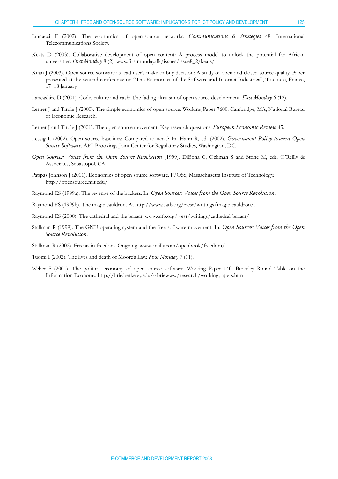- Iannacci F (2002). The economics of open-source networks. *Communications & Strategies* 48. International Telecommunications Society.
- Keats D (2003). Collaborative development of open content: A process model to unlock the potential for African universities. *First Monday* 8 (2). www.firstmonday.dk/issues/issue8\_2/keats/
- Kuan J (2003). Open source software as lead user's make or buy decision: A study of open and closed source quality. Paper presented at the second conference on "The Economics of the Software and Internet Industries", Toulouse, France, 17–18 January.
- Lancashire D (2001). Code, culture and cash: The fading altruism of open source development. *First Monday* 6 (12).
- Lerner J and Tirole J (2000). The simple economics of open source. Working Paper 7600. Cambridge, MA, National Bureau of Economic Research.
- Lerner J and Tirole J (2001). The open source movement: Key research questions. *European Economic Review* 45.
- Lessig L (2002). Open source baselines: Compared to what? In: Hahn R, ed. (2002). *Government Policy toward Open Source Software*. AEI-Brookings Joint Center for Regulatory Studies, Washington, DC.
- *Open Sources: Voices from the Open Source Revolution* (1999). DiBona C, Ockman S and Stone M, eds. O'Reilly & Associates, Sebastopol, CA.
- Pappas Johnson J (2001). Economics of open source software. F/OSS, Massachusetts Institute of Technology. http://opensource.mit.edu/
- Raymond ES (1999a). The revenge of the hackers. In: *Open Sources: Voices from the Open Source Revolution*.
- Raymond ES (1999b). The magic cauldron. At http://www.catb.org/~esr/writings/magic-cauldron/.
- Raymond ES (2000). The cathedral and the bazaar. www.catb.org/~esr/writings/cathedral-bazaar/
- Stallman R (1999). The GNU operating system and the free software movement. In: *Open Sources: Voices from the Open Source Revolution*.
- Stallman R (2002). Free as in freedom. Ongoing. www.oreilly.com/openbook/freedom/

Tuomi I (2002). The lives and death of Moore's Law. *First Monday* 7 (11).

Weber S (2000). The political economy of open source software. Working Paper 140. Berkeley Round Table on the Information Economy. http://brie.berkeley.edu/~briewww/research/workingpapers.htm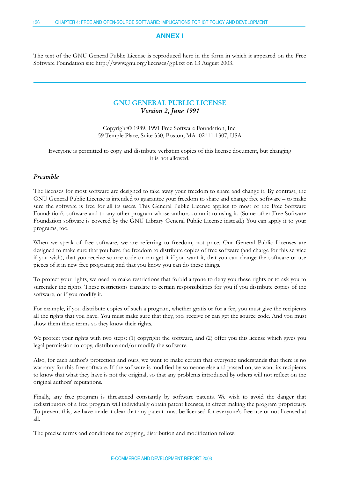## **ANNEX I**

The text of the GNU General Public License is reproduced here in the form in which it appeared on the Free Software Foundation site http://www.gnu.org/licenses/gpl.txt on 13 August 2003.

## **GNU GENERAL PUBLIC LICENSE** *Version 2, June 1991*

Copyright© 1989, 1991 Free Software Foundation, Inc. 59 Temple Place, Suite 330, Boston, MA 02111-1307, USA

Everyone is permitted to copy and distribute verbatim copies of this license document, but changing it is not allowed.

### *Preamble*

The licenses for most software are designed to take away your freedom to share and change it. By contrast, the GNU General Public License is intended to guarantee your freedom to share and change free software – to make sure the software is free for all its users. This General Public License applies to most of the Free Software Foundation's software and to any other program whose authors commit to using it. (Some other Free Software Foundation software is covered by the GNU Library General Public License instead.) You can apply it to your programs, too.

When we speak of free software, we are referring to freedom, not price. Our General Public Licenses are designed to make sure that you have the freedom to distribute copies of free software (and charge for this service if you wish), that you receive source code or can get it if you want it, that you can change the software or use pieces of it in new free programs; and that you know you can do these things.

To protect your rights, we need to make restrictions that forbid anyone to deny you these rights or to ask you to surrender the rights. These restrictions translate to certain responsibilities for you if you distribute copies of the software, or if you modify it.

For example, if you distribute copies of such a program, whether gratis or for a fee, you must give the recipients all the rights that you have. You must make sure that they, too, receive or can get the source code. And you must show them these terms so they know their rights.

We protect your rights with two steps: (1) copyright the software, and (2) offer you this license which gives you legal permission to copy, distribute and/or modify the software.

Also, for each author's protection and ours, we want to make certain that everyone understands that there is no warranty for this free software. If the software is modified by someone else and passed on, we want its recipients to know that what they have is not the original, so that any problems introduced by others will not reflect on the original authors' reputations.

Finally, any free program is threatened constantly by software patents. We wish to avoid the danger that redistributors of a free program will individually obtain patent licenses, in effect making the program proprietary. To prevent this, we have made it clear that any patent must be licensed for everyone's free use or not licensed at all.

The precise terms and conditions for copying, distribution and modification follow.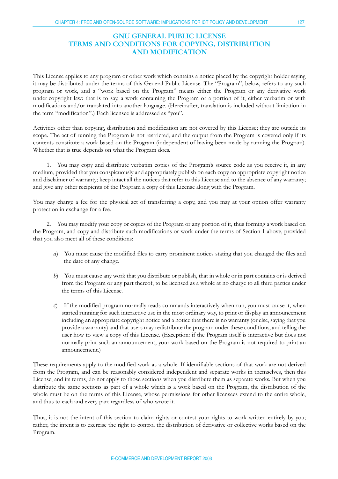## **GNU GENERAL PUBLIC LICENSE TERMS AND CONDITIONS FOR COPYING, DISTRIBUTION AND MODIFICATION**

This License applies to any program or other work which contains a notice placed by the copyright holder saying it may be distributed under the terms of this General Public License. The "Program", below, refers to any such program or work, and a "work based on the Program" means either the Program or any derivative work under copyright law: that is to say, a work containing the Program or a portion of it, either verbatim or with modifications and/or translated into another language. (Hereinafter, translation is included without limitation in the term "modification".) Each licensee is addressed as "you".

Activities other than copying, distribution and modification are not covered by this License; they are outside its scope. The act of running the Program is not restricted, and the output from the Program is covered only if its contents constitute a work based on the Program (independent of having been made by running the Program). Whether that is true depends on what the Program does.

1. You may copy and distribute verbatim copies of the Program's source code as you receive it, in any medium, provided that you conspicuously and appropriately publish on each copy an appropriate copyright notice and disclaimer of warranty; keep intact all the notices that refer to this License and to the absence of any warranty; and give any other recipients of the Program a copy of this License along with the Program.

You may charge a fee for the physical act of transferring a copy, and you may at your option offer warranty protection in exchange for a fee.

2. You may modify your copy or copies of the Program or any portion of it, thus forming a work based on the Program, and copy and distribute such modifications or work under the terms of Section 1 above, provided that you also meet all of these conditions:

- *a*) You must cause the modified files to carry prominent notices stating that you changed the files and the date of any change.
- *b*) You must cause any work that you distribute or publish, that in whole or in part contains or is derived from the Program or any part thereof, to be licensed as a whole at no charge to all third parties under the terms of this License.
- *c*) If the modified program normally reads commands interactively when run, you must cause it, when started running for such interactive use in the most ordinary way, to print or display an announcement including an appropriate copyright notice and a notice that there is no warranty (or else, saying that you provide a warranty) and that users may redistribute the program under these conditions, and telling the user how to view a copy of this License. (Exception: if the Program itself is interactive but does not normally print such an announcement, your work based on the Program is not required to print an announcement.)

These requirements apply to the modified work as a whole. If identifiable sections of that work are not derived from the Program, and can be reasonably considered independent and separate works in themselves, then this License, and its terms, do not apply to those sections when you distribute them as separate works. But when you distribute the same sections as part of a whole which is a work based on the Program, the distribution of the whole must be on the terms of this License, whose permissions for other licensees extend to the entire whole, and thus to each and every part regardless of who wrote it.

Thus, it is not the intent of this section to claim rights or contest your rights to work written entirely by you; rather, the intent is to exercise the right to control the distribution of derivative or collective works based on the Program.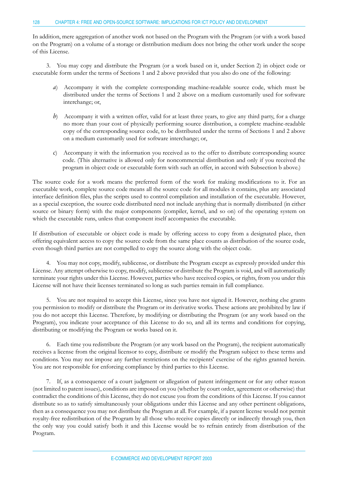In addition, mere aggregation of another work not based on the Program with the Program (or with a work based on the Program) on a volume of a storage or distribution medium does not bring the other work under the scope of this License.

3. You may copy and distribute the Program (or a work based on it, under Section 2) in object code or executable form under the terms of Sections 1 and 2 above provided that you also do one of the following:

- *a*) Accompany it with the complete corresponding machine-readable source code, which must be distributed under the terms of Sections 1 and 2 above on a medium customarily used for software interchange; or,
- *b*) Accompany it with a written offer, valid for at least three years, to give any third party, for a charge no more than your cost of physically performing source distribution, a complete machine-readable copy of the corresponding source code, to be distributed under the terms of Sections 1 and 2 above on a medium customarily used for software interchange; or,
- *c*) Accompany it with the information you received as to the offer to distribute corresponding source code. (This alternative is allowed only for noncommercial distribution and only if you received the program in object code or executable form with such an offer, in accord with Subsection b above.)

The source code for a work means the preferred form of the work for making modifications to it. For an executable work, complete source code means all the source code for all modules it contains, plus any associated interface definition files, plus the scripts used to control compilation and installation of the executable. However, as a special exception, the source code distributed need not include anything that is normally distributed (in either source or binary form) with the major components (compiler, kernel, and so on) of the operating system on which the executable runs, unless that component itself accompanies the executable.

If distribution of executable or object code is made by offering access to copy from a designated place, then offering equivalent access to copy the source code from the same place counts as distribution of the source code, even though third parties are not compelled to copy the source along with the object code.

4. You may not copy, modify, sublicense, or distribute the Program except as expressly provided under this License. Any attempt otherwise to copy, modify, sublicense or distribute the Program is void, and will automatically terminate your rights under this License. However, parties who have received copies, or rights, from you under this License will not have their licenses terminated so long as such parties remain in full compliance.

5. You are not required to accept this License, since you have not signed it. However, nothing else grants you permission to modify or distribute the Program or its derivative works. These actions are prohibited by law if you do not accept this License. Therefore, by modifying or distributing the Program (or any work based on the Program), you indicate your acceptance of this License to do so, and all its terms and conditions for copying, distributing or modifying the Program or works based on it.

6. Each time you redistribute the Program (or any work based on the Program), the recipient automatically receives a license from the original licensor to copy, distribute or modify the Program subject to these terms and conditions. You may not impose any further restrictions on the recipients' exercise of the rights granted herein. You are not responsible for enforcing compliance by third parties to this License.

7. If, as a consequence of a court judgment or allegation of patent infringement or for any other reason (not limited to patent issues), conditions are imposed on you (whether by court order, agreement or otherwise) that contradict the conditions of this License, they do not excuse you from the conditions of this License. If you cannot distribute so as to satisfy simultaneously your obligations under this License and any other pertinent obligations, then as a consequence you may not distribute the Program at all. For example, if a patent license would not permit royalty-free redistribution of the Program by all those who receive copies directly or indirectly through you, then the only way you could satisfy both it and this License would be to refrain entirely from distribution of the Program.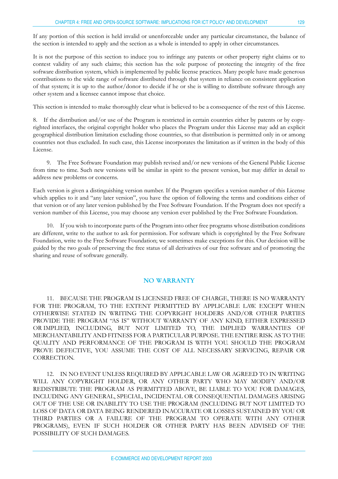If any portion of this section is held invalid or unenforceable under any particular circumstance, the balance of the section is intended to apply and the section as a whole is intended to apply in other circumstances.

It is not the purpose of this section to induce you to infringe any patents or other property right claims or to contest validity of any such claims; this section has the sole purpose of protecting the integrity of the free software distribution system, which is implemented by public license practices. Many people have made generous contributions to the wide range of software distributed through that system in reliance on consistent application of that system; it is up to the author/donor to decide if he or she is willing to distribute software through any other system and a licensee cannot impose that choice.

This section is intended to make thoroughly clear what is believed to be a consequence of the rest of this License.

8. If the distribution and/or use of the Program is restricted in certain countries either by patents or by copyrighted interfaces, the original copyright holder who places the Program under this License may add an explicit geographical distribution limitation excluding those countries, so that distribution is permitted only in or among countries not thus excluded. In such case, this License incorporates the limitation as if written in the body of this License.

9. The Free Software Foundation may publish revised and/or new versions of the General Public License from time to time. Such new versions will be similar in spirit to the present version, but may differ in detail to address new problems or concerns.

Each version is given a distinguishing version number. If the Program specifies a version number of this License which applies to it and "any later version", you have the option of following the terms and conditions either of that version or of any later version published by the Free Software Foundation. If the Program does not specify a version number of this License, you may choose any version ever published by the Free Software Foundation.

10. If you wish to incorporate parts of the Program into other free programs whose distribution conditions are different, write to the author to ask for permission. For software which is copyrighted by the Free Software Foundation, write to the Free Software Foundation; we sometimes make exceptions for this. Our decision will be guided by the two goals of preserving the free status of all derivatives of our free software and of promoting the sharing and reuse of software generally.

### **NO WARRANTY**

11. BECAUSE THE PROGRAM IS LICENSED FREE OF CHARGE, THERE IS NO WARRANTY FOR THE PROGRAM, TO THE EXTENT PERMITTED BY APPLICABLE LAW. EXCEPT WHEN OTHERWISE STATED IN WRITING THE COPYRIGHT HOLDERS AND/OR OTHER PARTIES PROVIDE THE PROGRAM "AS IS" WITHOUT WARRANTY OF ANY KIND, EITHER EXPRESSED OR IMPLIED, INCLUDING, BUT NOT LIMITED TO, THE IMPLIED WARRANTIES OF MERCHANTABILITY AND FITNESS FOR A PARTICULAR PURPOSE. THE ENTIRE RISK AS TO THE QUALITY AND PERFORMANCE OF THE PROGRAM IS WITH YOU. SHOULD THE PROGRAM PROVE DEFECTIVE, YOU ASSUME THE COST OF ALL NECESSARY SERVICING, REPAIR OR CORRECTION.

12. IN NO EVENT UNLESS REQUIRED BY APPLICABLE LAW OR AGREED TO IN WRITING WILL ANY COPYRIGHT HOLDER, OR ANY OTHER PARTY WHO MAY MODIFY AND/OR REDISTRIBUTE THE PROGRAM AS PERMITTED ABOVE, BE LIABLE TO YOU FOR DAMAGES, INCLUDING ANY GENERAL, SPECIAL, INCIDENTAL OR CONSEQUENTIAL DAMAGES ARISING OUT OF THE USE OR INABILITY TO USE THE PROGRAM (INCLUDING BUT NOT LIMITED TO LOSS OF DATA OR DATA BEING RENDERED INACCURATE OR LOSSES SUSTAINED BY YOU OR THIRD PARTIES OR A FAILURE OF THE PROGRAM TO OPERATE WITH ANY OTHER PROGRAMS), EVEN IF SUCH HOLDER OR OTHER PARTY HAS BEEN ADVISED OF THE POSSIBILITY OF SUCH DAMAGES.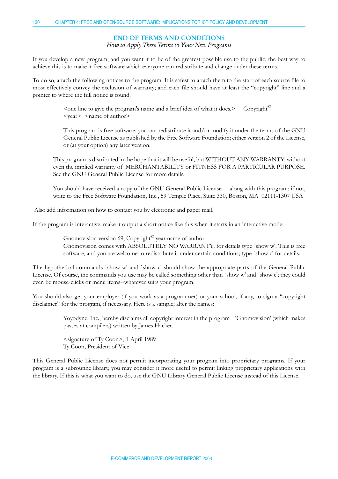#### **END OF TERMS AND CONDITIONS** *How to Apply These Terms to Your New Programs*

If you develop a new program, and you want it to be of the greatest possible use to the public, the best way to achieve this is to make it free software which everyone can redistribute and change under these terms.

To do so, attach the following notices to the program. It is safest to attach them to the start of each source file to most effectively convey the exclusion of warranty; and each file should have at least the "copyright" line and a pointer to where the full notice is found.

> $\leq$  one line to give the program's name and a brief idea of what it does. $\geq$  Copyright<sup>©</sup>  $\epsilon$  vear>  $\epsilon$  name of author>

This program is free software; you can redistribute it and/or modify it under the terms of the GNU General Public License as published by the Free Software Foundation; either version 2 of the License, or (at your option) any later version.

This program is distributed in the hope that it will be useful, but WITHOUT ANY WARRANTY; without even the implied warranty of MERCHANTABILITY or FITNESS FOR A PARTICULAR PURPOSE. See the GNU General Public License for more details.

You should have received a copy of the GNU General Public License along with this program; if not, write to the Free Software Foundation, Inc., 59 Temple Place, Suite 330, Boston, MA 02111-1307 USA

Also add information on how to contact you by electronic and paper mail.

If the program is interactive, make it output a short notice like this when it starts in an interactive mode:

Gnomovision version 69, Copyright<sup>©</sup> year name of author Gnomovision comes with ABSOLUTELY NO WARRANTY; for details type `show w'. This is free software, and you are welcome to redistribute it under certain conditions; type `show c' for details.

The hypothetical commands `show w' and `show c' should show the appropriate parts of the General Public License. Of course, the commands you use may be called something other than `show w' and `show c'; they could even be mouse-clicks or menu items--whatever suits your program.

You should also get your employer (if you work as a programmer) or your school, if any, to sign a "copyright disclaimer" for the program, if necessary. Here is a sample; alter the names:

> Yoyodyne, Inc., hereby disclaims all copyright interest in the program `Gnomovision' (which makes passes at compilers) written by James Hacker.

<signature of Ty Coon>, 1 April 1989 Ty Coon, President of Vice

This General Public License does not permit incorporating your program into proprietary programs. If your program is a subroutine library, you may consider it more useful to permit linking proprietary applications with the library. If this is what you want to do, use the GNU Library General Public License instead of this License.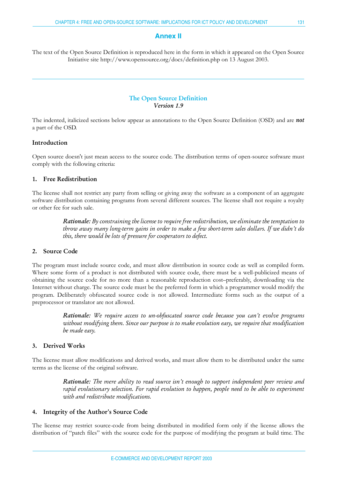### **Annex II**

The text of the Open Source Definition is reproduced here in the form in which it appeared on the Open Source Initiative site http://www.opensource.org/docs/definition.php on 13 August 2003.

#### **The Open Source Definition** *Version 1.9*

The indented, italicized sections below appear as annotations to the Open Source Definition (OSD) and are *not* a part of the OSD.

#### **Introduction**

Open source doesn't just mean access to the source code. The distribution terms of open-source software must comply with the following criteria:

### **1. Free Redistribution**

The license shall not restrict any party from selling or giving away the software as a component of an aggregate software distribution containing programs from several different sources. The license shall not require a royalty or other fee for such sale.

> *Rationale: By constraining the license to require free redistribution, we eliminate the temptation to throw away many long-term gains in order to make a few short-term sales dollars. If we didn't do this, there would be lots of pressure for cooperators to defect.*

#### **2. Source Code**

The program must include source code, and must allow distribution in source code as well as compiled form. Where some form of a product is not distributed with source code, there must be a well-publicized means of obtaining the source code for no more than a reasonable reproduction cost–preferably, downloading via the Internet without charge. The source code must be the preferred form in which a programmer would modify the program. Deliberately obfuscated source code is not allowed. Intermediate forms such as the output of a preprocessor or translator are not allowed.

> *Rationale: We require access to un-obfuscated source code because you can't evolve programs without modifying them. Since our purpose is to make evolution easy, we require that modification be made easy.*

#### **3. Derived Works**

The license must allow modifications and derived works, and must allow them to be distributed under the same terms as the license of the original software.

> *Rationale: The mere ability to read source isn't enough to support independent peer review and rapid evolutionary selection. For rapid evolution to happen, people need to be able to experiment with and redistribute modifications.*

#### **4. Integrity of the Author's Source Code**

The license may restrict source-code from being distributed in modified form only if the license allows the distribution of "patch files" with the source code for the purpose of modifying the program at build time. The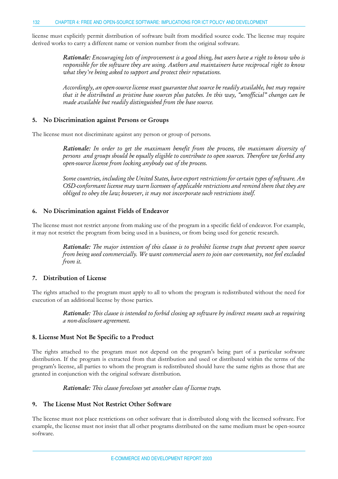license must explicitly permit distribution of software built from modified source code. The license may require derived works to carry a different name or version number from the original software.

> *Rationale: Encouraging lots of improvement is a good thing, but users have a right to know who is responsible for the software they are using. Authors and maintainers have reciprocal right to know what they're being asked to support and protect their reputations.*

> *Accordingly, an open-source license must guarantee that source be readily available, but may require that it be distributed as pristine base sources plus patches. In this way, "unofficial" changes can be made available but readily distinguished from the base source.*

### **5. No Discrimination against Persons or Groups**

The license must not discriminate against any person or group of persons.

*Rationale: In order to get the maximum benefit from the process, the maximum diversity of persons and groups should be equally eligible to contribute to open sources. Therefore we forbid any open-source license from locking anybody out of the process.*

*Some countries, including the United States, have export restrictions for certain types of software. An OSD-conformant license may warn licensees of applicable restrictions and remind them that they are obliged to obey the law; however, it may not incorporate such restrictions itself.*

### **6. No Discrimination against Fields of Endeavor**

The license must not restrict anyone from making use of the program in a specific field of endeavor. For example, it may not restrict the program from being used in a business, or from being used for genetic research.

> *Rationale: The major intention of this clause is to prohibit license traps that prevent open source from being used commercially. We want commercial users to join our community, not feel excluded from it.*

#### **7. Distribution of License**

The rights attached to the program must apply to all to whom the program is redistributed without the need for execution of an additional license by those parties.

> *Rationale: This clause is intended to forbid closing up software by indirect means such as requiring a non-disclosure agreement.*

#### **8. License Must Not Be Specific to a Product**

The rights attached to the program must not depend on the program's being part of a particular software distribution. If the program is extracted from that distribution and used or distributed within the terms of the program's license, all parties to whom the program is redistributed should have the same rights as those that are granted in conjunction with the original software distribution.

*Rationale: This clause forecloses yet another class of license traps.*

### **9. The License Must Not Restrict Other Software**

The license must not place restrictions on other software that is distributed along with the licensed software. For example, the license must not insist that all other programs distributed on the same medium must be open-source software.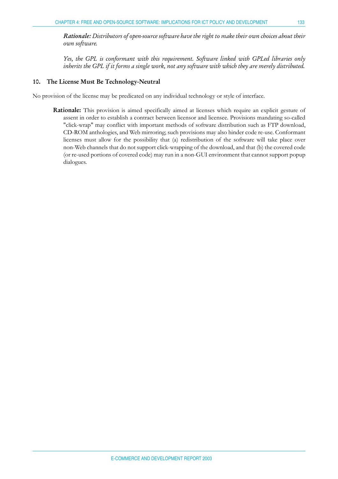*Rationale: Distributors of open-source software have the right to make their own choices about their own software.*

*Yes, the GPL is conformant with this requirement. Software linked with GPLed libraries only inherits the GPL if it forms a single work, not any software with which they are merely distributed.*

### **10. The License Must Be Technology-Neutral**

No provision of the license may be predicated on any individual technology or style of interface.

**Rationale:** This provision is aimed specifically aimed at licenses which require an explicit gesture of assent in order to establish a contract between licensor and licensee. Provisions mandating so-called "click-wrap" may conflict with important methods of software distribution such as FTP download, CD-ROM anthologies, and Web mirroring; such provisions may also hinder code re-use. Conformant licenses must allow for the possibility that (a) redistribution of the software will take place over non-Web channels that do not support click-wrapping of the download, and that (b) the covered code (or re-used portions of covered code) may run in a non-GUI environment that cannot support popup dialogues.